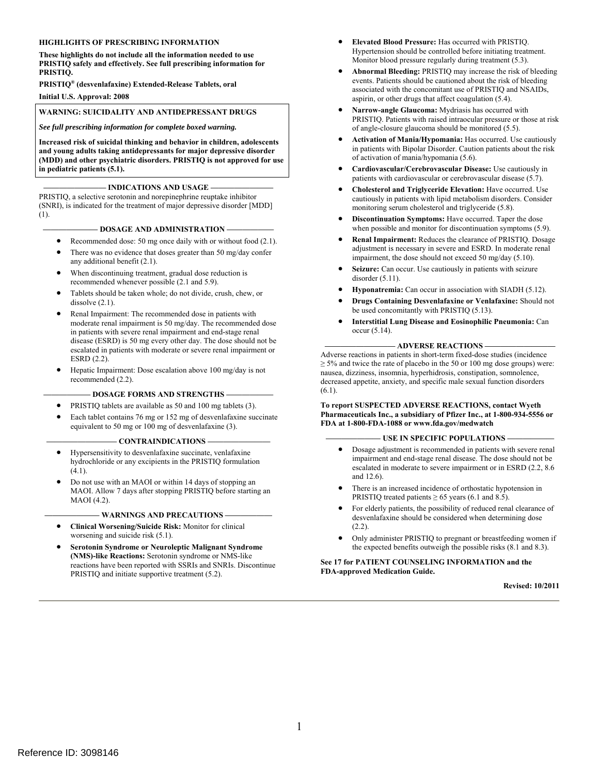#### **HIGHLIGHTS OF PRESCRIBING INFORMATION**

**These highlights do not include all the information needed to use PRISTIQ safely and effectively. See full prescribing information for PRISTIQ.** 

**PRISTIQ® (desvenlafaxine) Extended-Release Tablets, oral Initial U.S. Approval: 2008** 

#### **WARNING: SUICIDALITY AND ANTIDEPRESSANT DRUGS**

*See full prescribing information for complete boxed warning.* 

**Increased risk of suicidal thinking and behavior in children, adolescents and young adults taking antidepressants for major depressive disorder (MDD) and other psychiatric disorders. PRISTIQ is not approved for use in pediatric patients (5.1).** 

#### **———————— INDICATIONS AND USAGE ————————**

PRISTIQ, a selective serotonin and norepinephrine reuptake inhibitor (SNRI), is indicated for the treatment of major depressive disorder [MDD] (1).

#### **DOSAGE AND ADMINISTRATION —**

- Recommended dose: 50 mg once daily with or without food  $(2.1)$ .
- There was no evidence that doses greater than 50 mg/day confer any additional benefit (2.1).
- recommended whenever possible (2.1 and 5.9). When discontinuing treatment, gradual dose reduction is
- Tablets should be taken whole; do not divide, crush, chew, or dissolve  $(2.1)$ .
- disease (ESRD) is 50 mg every other day. The dose should not be Renal Impairment: The recommended dose in patients with moderate renal impairment is 50 mg/day. The recommended dose in patients with severe renal impairment and end-stage renal escalated in patients with moderate or severe renal impairment or ESRD (2.2). THIS IS (1990) THIS IS (1990) The control of the support of the support of the support of the support of the support of the support of the support of the support of the support of the support of the support of the support
- Hepatic Impairment: Dose escalation above 100 mg/day is not recommended (2.2).

#### **DOSAGE FORMS AND STRENGTHS -**

- PRISTIQ tablets are available as 50 and 100 mg tablets (3).
- equivalent to 50 mg or 100 mg of desvenlafaxine (3). Each tablet contains 76 mg or 152 mg of desvenlafaxine succinate

#### $-$ **CONTRAINDICATIONS**

- Hypersensitivity to desvenlafaxine succinate, venlafaxine hydrochloride or any excipients in the PRISTIQ formulation (4.1).
- Do not use with an MAOI or within 14 days of stopping an MAOI. Allow 7 days after stopping PRISTIQ before starting an MAOI (4.2).

#### **——————— WARNINGS AND PRECAUTIONS ——————**

- **Clinical Worsening/Suicide Risk:** Monitor for clinical worsening and suicide risk (5.1).
- PRISTIQ and initiate supportive treatment (5.2). **Serotonin Syndrome or Neuroleptic Malignant Syndrome (NMS)-like Reactions:** Serotonin syndrome or NMS-like reactions have been reported with SSRIs and SNRIs. Discontinue
- Hypertension should be controlled before initiating treatment. Monitor blood pressure regularly during treatment (5.3).
- **Abnormal Bleeding:** PRISTIQ may increase the risk of bleeding events. Patients should be cautioned about the risk of bleeding associated with the concomitant use of PRISTIQ and NSAIDs, aspirin, or other drugs that affect coagulation (5.4).
- **Narrow-angle Glaucoma:** Mydriasis has occurred with PRISTIQ. Patients with raised intraocular pressure or those at risk of angle-closure glaucoma should be monitored (5.5).
- **Activation of Mania/Hypomania:** Has occurred. Use cautiously in patients with Bipolar Disorder. Caution patients about the risk of activation of mania/hypomania (5.6).
- patients with cardiovascular or cerebrovascular disease (5.7). **Cardiovascular/Cerebrovascular Disease:** Use cautiously in
- **Cholesterol and Triglyceride Elevation:** Have occurred. Use cautiously in patients with lipid metabolism disorders. Consider monitoring serum cholesterol and triglyceride (5.8).
- when possible and monitor for discontinuation symptoms (5.9). **Discontinuation Symptoms:** Have occurred. Taper the dose
- **Renal Impairment:** Reduces the clearance of PRISTIQ. Dosage adjustment is necessary in severe and ESRD. In moderate renal impairment, the dose should not exceed 50 mg/day (5.10).
- **Seizure:** Can occur. Use cautiously in patients with seizure disorder (5.11).
- **Hyponatremia:** Can occur in association with SIADH (5.12).
- **Drugs Containing Desvenlafaxine or Venlafaxine:** Should not be used concomitantly with PRISTIQ (5.13).
- **Interstitial Lung Disease and Eosinophilic Pneumonia:** Can occur (5.14).

#### **- ADVERSE REACTIONS -**

Adverse reactions in patients in short-term fixed-dose studies (incidence  $\geq$  5% and twice the rate of placebo in the 50 or 100 mg dose groups) were: nausea, dizziness, insomnia, hyperhidrosis, constipation, somnolence, decreased appetite, anxiety, and specific male sexual function disorders  $(6.1)$ 

**To report SUSPECTED ADVERSE REACTIONS, contact Wyeth Pharmaceuticals Inc., a subsidiary of Pfizer Inc., at 1-800-934-5556 or FDA at 1-800-FDA-1088 or www.fda.gov/medwatch** 

#### **USE IN SPECIFIC POPULATIONS**

- Dosage adjustment is recommended in patients with severe renal impairment and end-stage renal disease. The dose should not be escalated in moderate to severe impairment or in ESRD (2.2, 8.6 and 12.6).
- There is an increased incidence of orthostatic hypotension in PRISTIQ treated patients  $\geq 65$  years (6.1 and 8.5).
- For elderly patients, the possibility of reduced renal clearance of desvenlafaxine should be considered when determining dose (2.2).
- the expected benefits outweigh the possible risks (8.1 and 8.3). Only administer PRISTIQ to pregnant or breastfeeding women if

#### **See 17 for PATIENT COUNSELING INFORMATION and the FDA-approved Medication Guide.**

**Revised: 10/2011**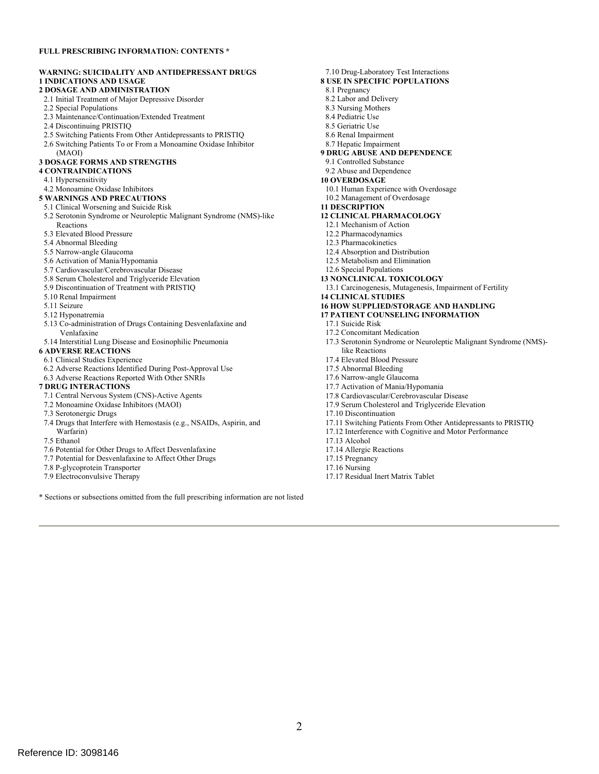#### **FULL PRESCRIBING INFORMATION: CONTENTS \***

#### 2.5 Switching Patients From Other Antidepressants to PRISTIQ (MAOI) 4.2 Monoamine Oxidase Inhibitors 5.3 Elevated Blood Pressure 5.5 Narrow-angle Glaucoma **WARNING: SUICIDALITY AND ANTIDEPRESSANT DRUGS 1 INDICATIONS AND USAGE 2 DOSAGE AND ADMINISTRATION**  2.1 Initial Treatment of Major Depressive Disorder 2.2 Special Populations 2.3 Maintenance/Continuation/Extended Treatment 2.4 Discontinuing PRISTIQ 2.6 Switching Patients To or From a Monoamine Oxidase Inhibitor **3 DOSAGE FORMS AND STRENGTHS 4 CONTRAINDICATIONS**  4.1 Hypersensitivity **5 WARNINGS AND PRECAUTIONS**  5.1 Clinical Worsening and Suicide Risk 5.2 Serotonin Syndrome or Neuroleptic Malignant Syndrome (NMS)-like Reactions 5.4 Abnormal Bleeding 5.6 Activation of Mania/Hypomania 5.7 Cardiovascular/Cerebrovascular Disease 5.8 Serum Cholesterol and Triglyceride Elevation 5.9 Discontinuation of Treatment with PRISTIQ 5.10 Renal Impairment 5.11 Seizure 5.12 Hyponatremia 5.13 Co-administration of Drugs Containing Desvenlafaxine and Venlafaxine 5.14 Interstitial Lung Disease and Eosinophilic Pneumonia **6 ADVERSE REACTIONS**  6.1 Clinical Studies Experience 6.2 Adverse Reactions Identified During Post-Approval Use 6.3 Adverse Reactions Reported With Other SNRIs **7 DRUG INTERACTIONS**  7.1 Central Nervous System (CNS)-Active Agents

- 
- 7.2 Monoamine Oxidase Inhibitors (MAOI)
- 7.3 Serotonergic Drugs
- 7.4 Drugs that Interfere with Hemostasis (e.g., NSAIDs, Aspirin, and Warfarin)
- 7.5 Ethanol
- 7.6 Potential for Other Drugs to Affect Desvenlafaxine
- 7.7 Potential for Desvenlafaxine to Affect Other Drugs
- 7.8 P-glycoprotein Transporter
- 7.9 Electroconvulsive Therapy

\* Sections or subsections omitted from the full prescribing information are not listed

7.10 Drug-Laboratory Test Interactions **8 USE IN SPECIFIC POPULATIONS**  8.1 Pregnancy 8.2 Labor and Delivery 8.3 Nursing Mothers 8.4 Pediatric Use 8.5 Geriatric Use 8.6 Renal Impairment 8.7 Hepatic Impairment **9 DRUG ABUSE AND DEPENDENCE**  9.1 Controlled Substance 9.2 Abuse and Dependence **10 OVERDOSAGE**  10.1 Human Experience with Overdosage 10.2 Management of Overdosage **11 DESCRIPTION 12 CLINICAL PHARMACOLOGY**  12.1 Mechanism of Action 12.2 Pharmacodynamics 12.3 Pharmacokinetics 12.4 Absorption and Distribution 12.5 Metabolism and Elimination 12.6 Special Populations **13 NONCLINICAL TOXICOLOGY**  13.1 Carcinogenesis, Mutagenesis, Impairment of Fertility **14 CLINICAL STUDIES 16 HOW SUPPLIED/STORAGE AND HANDLING 17 PATIENT COUNSELING INFORMATION**  17.1 Suicide Risk 17.2 Concomitant Medication 17.3 Serotonin Syndrome or Neuroleptic Malignant Syndrome (NMS) like Reactions 17.4 Elevated Blood Pressure 17.5 Abnormal Bleeding 17.6 Narrow-angle Glaucoma 17.7 Activation of Mania/Hypomania 17.8 Cardiovascular/Cerebrovascular Disease 17.9 Serum Cholesterol and Triglyceride Elevation 17.10 Discontinuation 17.11 Switching Patients From Other Antidepressants to PRISTIQ 17.12 Interference with Cognitive and Motor Performance 17.13 Alcohol 17.14 Allergic Reactions 17.15 Pregnancy 17.16 Nursing

17.17 Residual Inert Matrix Tablet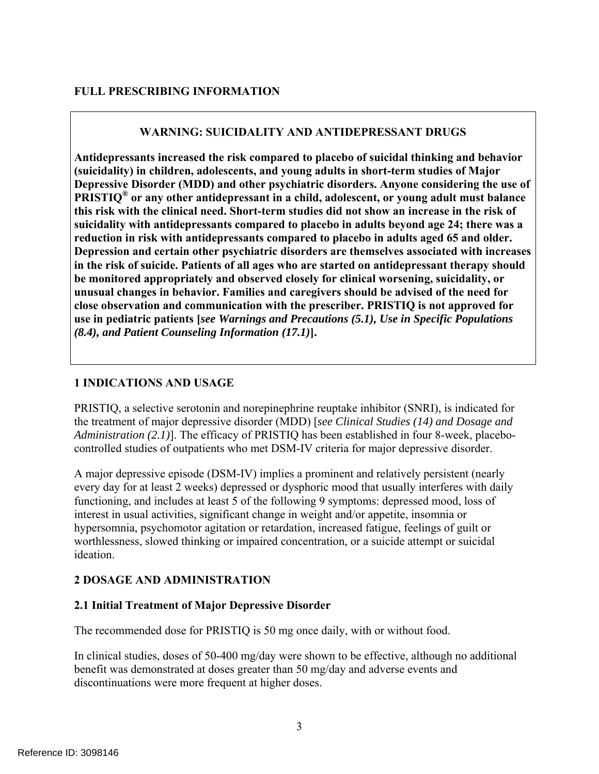## **FULL PRESCRIBING INFORMATION**

## **WARNING: SUICIDALITY AND ANTIDEPRESSANT DRUGS**

**Antidepressants increased the risk compared to placebo of suicidal thinking and behavior (suicidality) in children, adolescents, and young adults in short-term studies of Major Depressive Disorder (MDD) and other psychiatric disorders. Anyone considering the use of PRISTIQ® or any other antidepressant in a child, adolescent, or young adult must balance this risk with the clinical need. Short-term studies did not show an increase in the risk of suicidality with antidepressants compared to placebo in adults beyond age 24; there was a reduction in risk with antidepressants compared to placebo in adults aged 65 and older. Depression and certain other psychiatric disorders are themselves associated with increases in the risk of suicide. Patients of all ages who are started on antidepressant therapy should be monitored appropriately and observed closely for clinical worsening, suicidality, or unusual changes in behavior. Families and caregivers should be advised of the need for close observation and communication with the prescriber. PRISTIQ is not approved for use in pediatric patients [***see Warnings and Precautions (5.1), Use in Specific Populations (8.4), and Patient Counseling Information (17.1)***].** 

## **1 INDICATIONS AND USAGE**

PRISTIQ, a selective serotonin and norepinephrine reuptake inhibitor (SNRI), is indicated for the treatment of major depressive disorder (MDD) [*see Clinical Studies (14) and Dosage and Administration (2.1)*]. The efficacy of PRISTIQ has been established in four 8-week, placebocontrolled studies of outpatients who met DSM-IV criteria for major depressive disorder.

A major depressive episode (DSM-IV) implies a prominent and relatively persistent (nearly every day for at least 2 weeks) depressed or dysphoric mood that usually interferes with daily functioning, and includes at least 5 of the following 9 symptoms: depressed mood, loss of interest in usual activities, significant change in weight and/or appetite, insomnia or hypersomnia, psychomotor agitation or retardation, increased fatigue, feelings of guilt or worthlessness, slowed thinking or impaired concentration, or a suicide attempt or suicidal ideation.

# **2 DOSAGE AND ADMINISTRATION**

## **2.1 Initial Treatment of Major Depressive Disorder**

The recommended dose for PRISTIQ is 50 mg once daily, with or without food.

In clinical studies, doses of 50-400 mg/day were shown to be effective, although no additional benefit was demonstrated at doses greater than 50 mg/day and adverse events and discontinuations were more frequent at higher doses.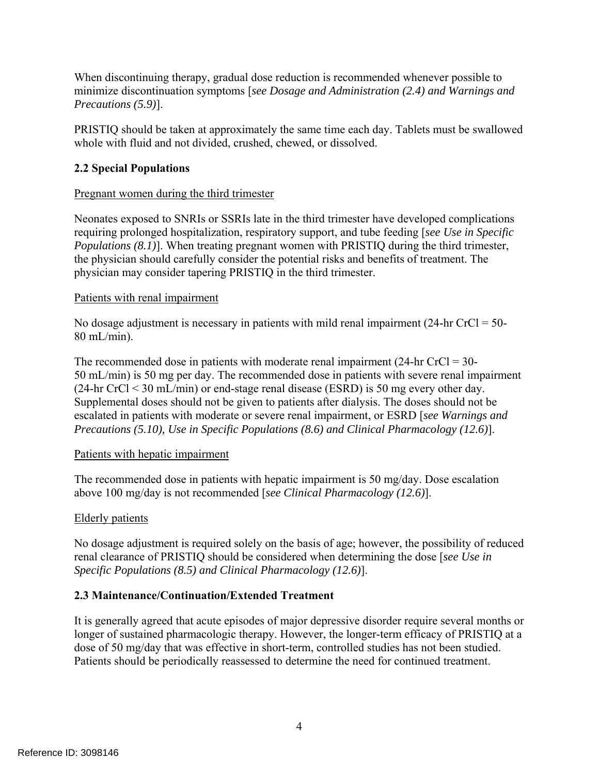When discontinuing therapy, gradual dose reduction is recommended whenever possible to minimize discontinuation symptoms [*see Dosage and Administration (2.4) and Warnings and Precautions (5.9)*].

PRISTIQ should be taken at approximately the same time each day. Tablets must be swallowed whole with fluid and not divided, crushed, chewed, or dissolved.

## **2.2 Special Populations**

## Pregnant women during the third trimester

Neonates exposed to SNRIs or SSRIs late in the third trimester have developed complications requiring prolonged hospitalization, respiratory support, and tube feeding [*see Use in Specific Populations (8.1)*]. When treating pregnant women with PRISTIQ during the third trimester, the physician should carefully consider the potential risks and benefits of treatment. The physician may consider tapering PRISTIQ in the third trimester.

## Patients with renal impairment

No dosage adjustment is necessary in patients with mild renal impairment  $(24-hr)$  CrCl = 50-80 mL/min).

The recommended dose in patients with moderate renal impairment  $(24-hr)$  CrCl = 30-50 mL/min) is 50 mg per day. The recommended dose in patients with severe renal impairment (24-hr CrCl < 30 mL/min) or end-stage renal disease (ESRD) is 50 mg every other day. Supplemental doses should not be given to patients after dialysis. The doses should not be escalated in patients with moderate or severe renal impairment, or ESRD [*see Warnings and Precautions (5.10), Use in Specific Populations (8.6) and Clinical Pharmacology (12.6)*].

## Patients with hepatic impairment

The recommended dose in patients with hepatic impairment is 50 mg/day. Dose escalation above 100 mg/day is not recommended [*see Clinical Pharmacology (12.6)*].

## Elderly patients

No dosage adjustment is required solely on the basis of age; however, the possibility of reduced renal clearance of PRISTIQ should be considered when determining the dose [*see Use in Specific Populations (8.5) and Clinical Pharmacology (12.6)*].

# **2.3 Maintenance/Continuation/Extended Treatment**

It is generally agreed that acute episodes of major depressive disorder require several months or longer of sustained pharmacologic therapy. However, the longer-term efficacy of PRISTIQ at a dose of 50 mg/day that was effective in short-term, controlled studies has not been studied. Patients should be periodically reassessed to determine the need for continued treatment.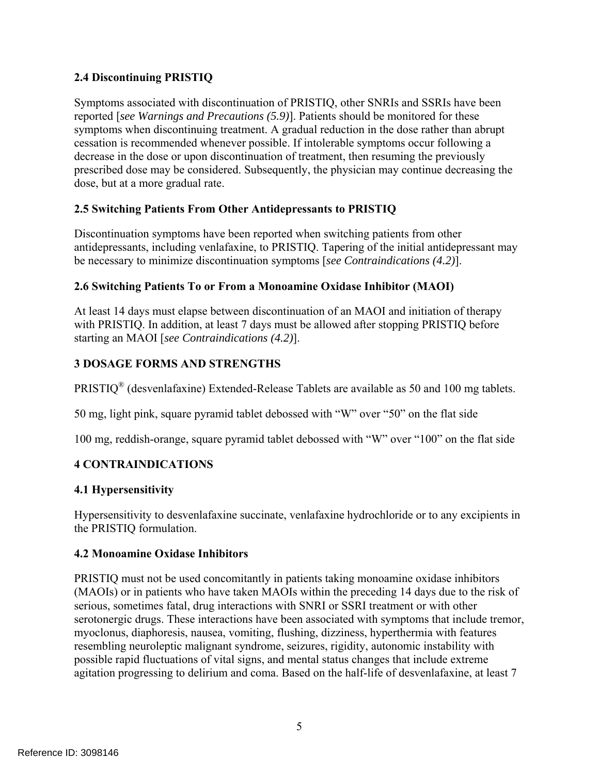# **2.4 Discontinuing PRISTIQ**

Symptoms associated with discontinuation of PRISTIQ, other SNRIs and SSRIs have been reported [*see Warnings and Precautions (5.9)*]. Patients should be monitored for these symptoms when discontinuing treatment. A gradual reduction in the dose rather than abrupt cessation is recommended whenever possible. If intolerable symptoms occur following a decrease in the dose or upon discontinuation of treatment, then resuming the previously prescribed dose may be considered. Subsequently, the physician may continue decreasing the dose, but at a more gradual rate.

## **2.5 Switching Patients From Other Antidepressants to PRISTIQ**

Discontinuation symptoms have been reported when switching patients from other antidepressants, including venlafaxine, to PRISTIQ. Tapering of the initial antidepressant may be necessary to minimize discontinuation symptoms [*see Contraindications (4.2)*].

## **2.6 Switching Patients To or From a Monoamine Oxidase Inhibitor (MAOI)**

At least 14 days must elapse between discontinuation of an MAOI and initiation of therapy with PRISTIO. In addition, at least 7 days must be allowed after stopping PRISTIO before starting an MAOI [*see Contraindications (4.2)*].

# **3 DOSAGE FORMS AND STRENGTHS**

PRISTIO<sup>®</sup> (desvenlafaxine) Extended-Release Tablets are available as 50 and 100 mg tablets.

50 mg, light pink, square pyramid tablet debossed with "W" over "50" on the flat side

100 mg, reddish-orange, square pyramid tablet debossed with "W" over "100" on the flat side

# **4 CONTRAINDICATIONS**

## **4.1 Hypersensitivity**

Hypersensitivity to desvenlafaxine succinate, venlafaxine hydrochloride or to any excipients in the PRISTIQ formulation.

## **4.2 Monoamine Oxidase Inhibitors**

PRISTIQ must not be used concomitantly in patients taking monoamine oxidase inhibitors (MAOIs) or in patients who have taken MAOIs within the preceding 14 days due to the risk of serious, sometimes fatal, drug interactions with SNRI or SSRI treatment or with other serotonergic drugs. These interactions have been associated with symptoms that include tremor, myoclonus, diaphoresis, nausea, vomiting, flushing, dizziness, hyperthermia with features resembling neuroleptic malignant syndrome, seizures, rigidity, autonomic instability with possible rapid fluctuations of vital signs, and mental status changes that include extreme agitation progressing to delirium and coma. Based on the half-life of desvenlafaxine, at least 7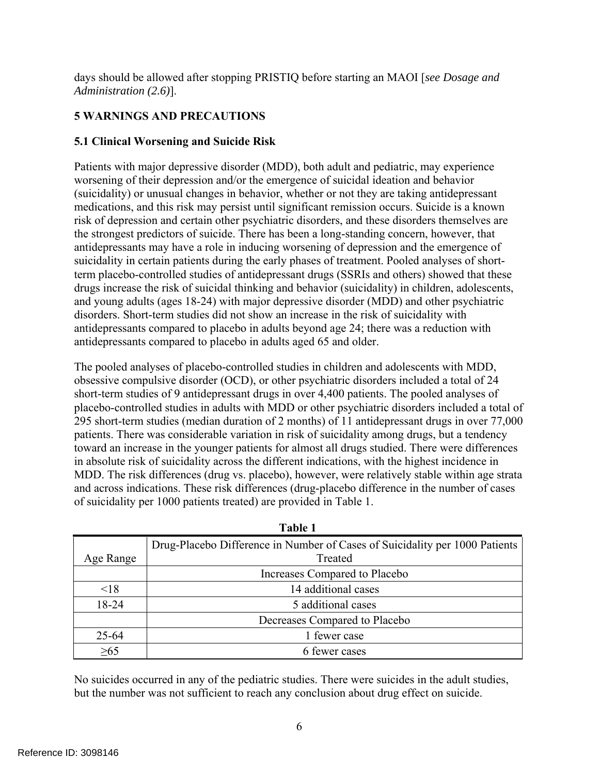days should be allowed after stopping PRISTIQ before starting an MAOI [*see Dosage and Administration (2.6)*].

# **5 WARNINGS AND PRECAUTIONS**

## **5.1 Clinical Worsening and Suicide Risk**

Patients with major depressive disorder (MDD), both adult and pediatric, may experience worsening of their depression and/or the emergence of suicidal ideation and behavior (suicidality) or unusual changes in behavior, whether or not they are taking antidepressant medications, and this risk may persist until significant remission occurs. Suicide is a known risk of depression and certain other psychiatric disorders, and these disorders themselves are the strongest predictors of suicide. There has been a long-standing concern, however, that antidepressants may have a role in inducing worsening of depression and the emergence of suicidality in certain patients during the early phases of treatment. Pooled analyses of shortterm placebo-controlled studies of antidepressant drugs (SSRIs and others) showed that these drugs increase the risk of suicidal thinking and behavior (suicidality) in children, adolescents, and young adults (ages 18-24) with major depressive disorder (MDD) and other psychiatric disorders. Short-term studies did not show an increase in the risk of suicidality with antidepressants compared to placebo in adults beyond age 24; there was a reduction with antidepressants compared to placebo in adults aged 65 and older.

The pooled analyses of placebo-controlled studies in children and adolescents with MDD, obsessive compulsive disorder (OCD), or other psychiatric disorders included a total of 24 short-term studies of 9 antidepressant drugs in over 4,400 patients. The pooled analyses of placebo-controlled studies in adults with MDD or other psychiatric disorders included a total of 295 short-term studies (median duration of 2 months) of 11 antidepressant drugs in over 77,000 patients. There was considerable variation in risk of suicidality among drugs, but a tendency toward an increase in the younger patients for almost all drugs studied. There were differences in absolute risk of suicidality across the different indications, with the highest incidence in MDD. The risk differences (drug vs. placebo), however, were relatively stable within age strata and across indications. These risk differences (drug-placebo difference in the number of cases of suicidality per 1000 patients treated) are provided in Table 1.

|           | 1 aviv 1                                                                    |
|-----------|-----------------------------------------------------------------------------|
|           | Drug-Placebo Difference in Number of Cases of Suicidality per 1000 Patients |
| Age Range | Treated                                                                     |
|           | Increases Compared to Placebo                                               |
| < 18      | 14 additional cases                                                         |
| 18-24     | 5 additional cases                                                          |
|           | Decreases Compared to Placebo                                               |
| $25 - 64$ | 1 fewer case                                                                |
| >65       | 6 fewer cases                                                               |

**Table 1** 

No suicides occurred in any of the pediatric studies. There were suicides in the adult studies, but the number was not sufficient to reach any conclusion about drug effect on suicide.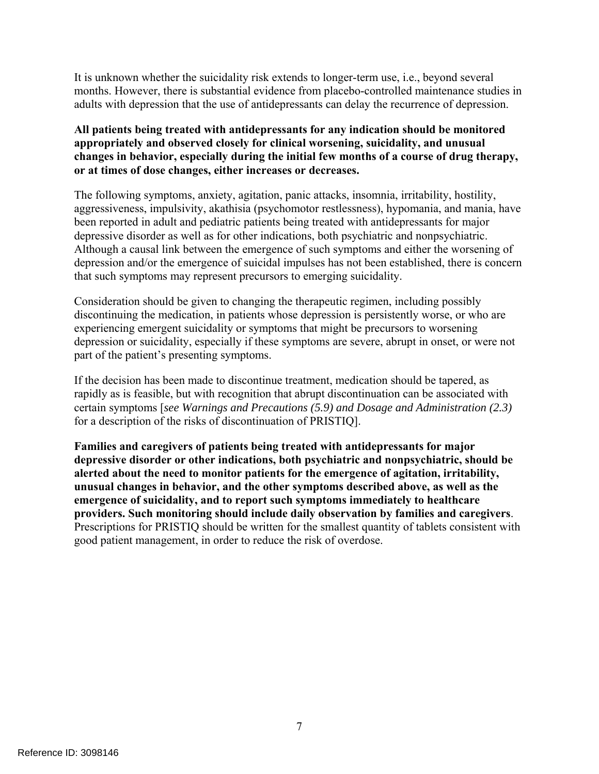It is unknown whether the suicidality risk extends to longer-term use, i.e., beyond several months. However, there is substantial evidence from placebo-controlled maintenance studies in adults with depression that the use of antidepressants can delay the recurrence of depression.

#### **All patients being treated with antidepressants for any indication should be monitored appropriately and observed closely for clinical worsening, suicidality, and unusual changes in behavior, especially during the initial few months of a course of drug therapy, or at times of dose changes, either increases or decreases.**

The following symptoms, anxiety, agitation, panic attacks, insomnia, irritability, hostility, aggressiveness, impulsivity, akathisia (psychomotor restlessness), hypomania, and mania, have been reported in adult and pediatric patients being treated with antidepressants for major depressive disorder as well as for other indications, both psychiatric and nonpsychiatric. Although a causal link between the emergence of such symptoms and either the worsening of depression and/or the emergence of suicidal impulses has not been established, there is concern that such symptoms may represent precursors to emerging suicidality.

Consideration should be given to changing the therapeutic regimen, including possibly discontinuing the medication, in patients whose depression is persistently worse, or who are experiencing emergent suicidality or symptoms that might be precursors to worsening depression or suicidality, especially if these symptoms are severe, abrupt in onset, or were not part of the patient's presenting symptoms.

If the decision has been made to discontinue treatment, medication should be tapered, as rapidly as is feasible, but with recognition that abrupt discontinuation can be associated with certain symptoms [*see Warnings and Precautions (5.9) and Dosage and Administration (2.3)*  for a description of the risks of discontinuation of PRISTIQ].

**Families and caregivers of patients being treated with antidepressants for major depressive disorder or other indications, both psychiatric and nonpsychiatric, should be alerted about the need to monitor patients for the emergence of agitation, irritability, unusual changes in behavior, and the other symptoms described above, as well as the emergence of suicidality, and to report such symptoms immediately to healthcare providers. Such monitoring should include daily observation by families and caregivers**. Prescriptions for PRISTIQ should be written for the smallest quantity of tablets consistent with good patient management, in order to reduce the risk of overdose.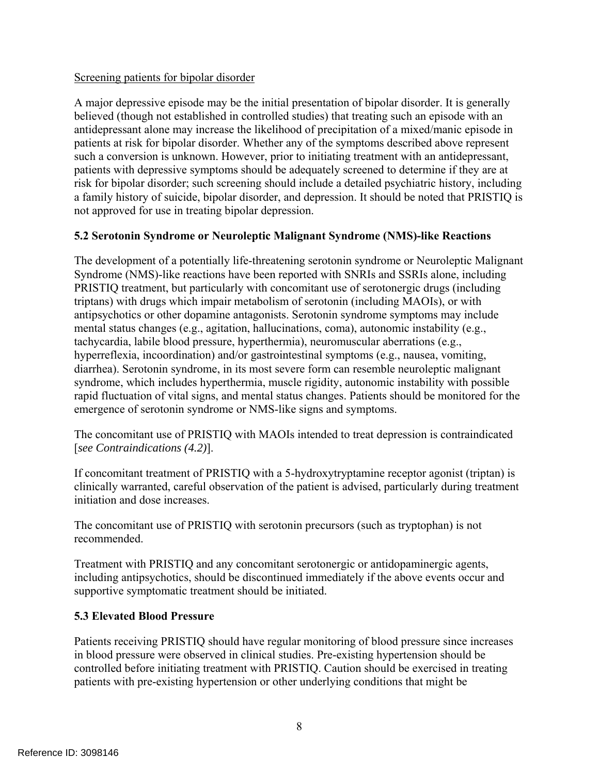## Screening patients for bipolar disorder

A major depressive episode may be the initial presentation of bipolar disorder. It is generally believed (though not established in controlled studies) that treating such an episode with an antidepressant alone may increase the likelihood of precipitation of a mixed/manic episode in patients at risk for bipolar disorder. Whether any of the symptoms described above represent such a conversion is unknown. However, prior to initiating treatment with an antidepressant, patients with depressive symptoms should be adequately screened to determine if they are at risk for bipolar disorder; such screening should include a detailed psychiatric history, including a family history of suicide, bipolar disorder, and depression. It should be noted that PRISTIQ is not approved for use in treating bipolar depression.

# **5.2 Serotonin Syndrome or Neuroleptic Malignant Syndrome (NMS)-like Reactions**

The development of a potentially life-threatening serotonin syndrome or Neuroleptic Malignant Syndrome (NMS)-like reactions have been reported with SNRIs and SSRIs alone, including PRISTIQ treatment, but particularly with concomitant use of serotonergic drugs (including triptans) with drugs which impair metabolism of serotonin (including MAOIs), or with antipsychotics or other dopamine antagonists. Serotonin syndrome symptoms may include mental status changes (e.g., agitation, hallucinations, coma), autonomic instability (e.g., tachycardia, labile blood pressure, hyperthermia), neuromuscular aberrations (e.g., hyperreflexia, incoordination) and/or gastrointestinal symptoms (e.g., nausea, vomiting, diarrhea). Serotonin syndrome, in its most severe form can resemble neuroleptic malignant syndrome, which includes hyperthermia, muscle rigidity, autonomic instability with possible rapid fluctuation of vital signs, and mental status changes. Patients should be monitored for the emergence of serotonin syndrome or NMS-like signs and symptoms.

The concomitant use of PRISTIQ with MAOIs intended to treat depression is contraindicated [*see Contraindications (4.2)*].

If concomitant treatment of PRISTIQ with a 5-hydroxytryptamine receptor agonist (triptan) is clinically warranted, careful observation of the patient is advised, particularly during treatment initiation and dose increases.

The concomitant use of PRISTIQ with serotonin precursors (such as tryptophan) is not recommended.

Treatment with PRISTIQ and any concomitant serotonergic or antidopaminergic agents, including antipsychotics, should be discontinued immediately if the above events occur and supportive symptomatic treatment should be initiated.

# **5.3 Elevated Blood Pressure**

Patients receiving PRISTIQ should have regular monitoring of blood pressure since increases in blood pressure were observed in clinical studies. Pre-existing hypertension should be controlled before initiating treatment with PRISTIQ. Caution should be exercised in treating patients with pre-existing hypertension or other underlying conditions that might be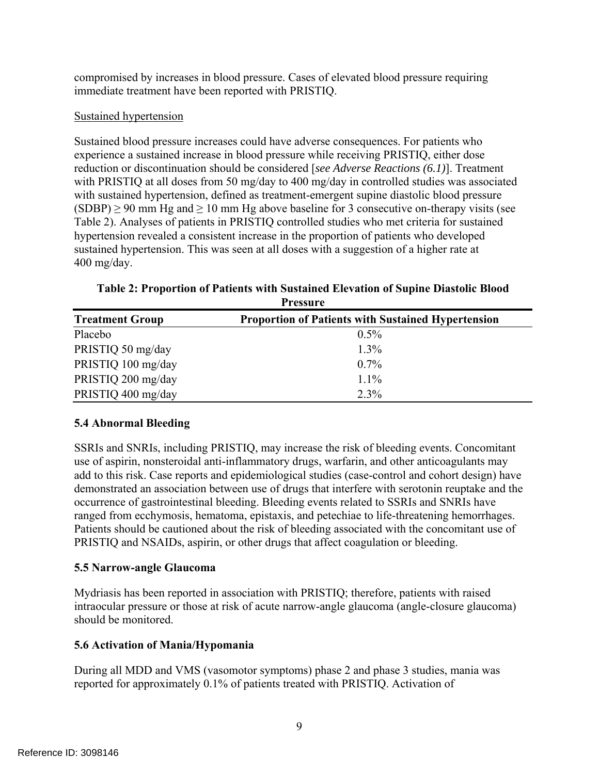compromised by increases in blood pressure. Cases of elevated blood pressure requiring immediate treatment have been reported with PRISTIQ.

## Sustained hypertension

Sustained blood pressure increases could have adverse consequences. For patients who experience a sustained increase in blood pressure while receiving PRISTIQ, either dose reduction or discontinuation should be considered [*see Adverse Reactions (6.1)*]. Treatment with PRISTIQ at all doses from 50 mg/day to 400 mg/day in controlled studies was associated with sustained hypertension, defined as treatment-emergent supine diastolic blood pressure  $(SDBP) \ge 90$  mm Hg and  $\ge 10$  mm Hg above baseline for 3 consecutive on-therapy visits (see Table 2). Analyses of patients in PRISTIQ controlled studies who met criteria for sustained hypertension revealed a consistent increase in the proportion of patients who developed sustained hypertension. This was seen at all doses with a suggestion of a higher rate at 400 mg/day.

**Table 2: Proportion of Patients with Sustained Elevation of Supine Diastolic Blood Pressure** 

| <b>Treatment Group</b> | <b>Proportion of Patients with Sustained Hypertension</b> |
|------------------------|-----------------------------------------------------------|
| Placebo                | $0.5\%$                                                   |
| PRISTIQ 50 mg/day      | $1.3\%$                                                   |
| PRISTIQ 100 mg/day     | $0.7\%$                                                   |
| PRISTIQ 200 mg/day     | $1.1\%$                                                   |
| PRISTIQ 400 mg/day     | 2.3%                                                      |

# **5.4 Abnormal Bleeding**

SSRIs and SNRIs, including PRISTIQ, may increase the risk of bleeding events. Concomitant use of aspirin, nonsteroidal anti-inflammatory drugs, warfarin, and other anticoagulants may add to this risk. Case reports and epidemiological studies (case-control and cohort design) have demonstrated an association between use of drugs that interfere with serotonin reuptake and the occurrence of gastrointestinal bleeding. Bleeding events related to SSRIs and SNRIs have ranged from ecchymosis, hematoma, epistaxis, and petechiae to life-threatening hemorrhages. Patients should be cautioned about the risk of bleeding associated with the concomitant use of PRISTIQ and NSAIDs, aspirin, or other drugs that affect coagulation or bleeding.

# **5.5 Narrow-angle Glaucoma**

Mydriasis has been reported in association with PRISTIQ; therefore, patients with raised intraocular pressure or those at risk of acute narrow-angle glaucoma (angle-closure glaucoma) should be monitored.

# **5.6 Activation of Mania/Hypomania**

During all MDD and VMS (vasomotor symptoms) phase 2 and phase 3 studies, mania was reported for approximately 0.1% of patients treated with PRISTIQ. Activation of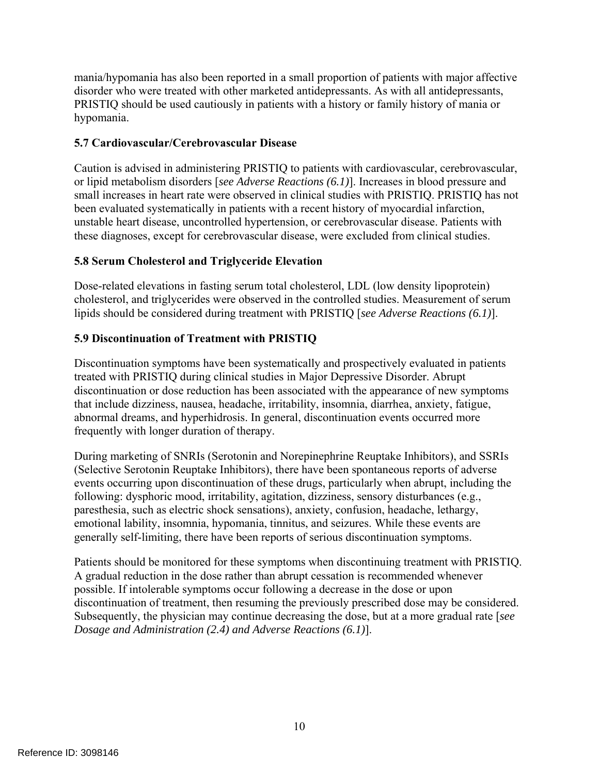mania/hypomania has also been reported in a small proportion of patients with major affective disorder who were treated with other marketed antidepressants. As with all antidepressants, PRISTIQ should be used cautiously in patients with a history or family history of mania or hypomania.

## **5.7 Cardiovascular/Cerebrovascular Disease**

Caution is advised in administering PRISTIQ to patients with cardiovascular, cerebrovascular, or lipid metabolism disorders [*see Adverse Reactions (6.1)*]. Increases in blood pressure and small increases in heart rate were observed in clinical studies with PRISTIQ. PRISTIQ has not been evaluated systematically in patients with a recent history of myocardial infarction, unstable heart disease, uncontrolled hypertension, or cerebrovascular disease. Patients with these diagnoses, except for cerebrovascular disease, were excluded from clinical studies.

# **5.8 Serum Cholesterol and Triglyceride Elevation**

Dose-related elevations in fasting serum total cholesterol, LDL (low density lipoprotein) cholesterol, and triglycerides were observed in the controlled studies. Measurement of serum lipids should be considered during treatment with PRISTIQ [*see Adverse Reactions (6.1)*].

# **5.9 Discontinuation of Treatment with PRISTIQ**

Discontinuation symptoms have been systematically and prospectively evaluated in patients treated with PRISTIQ during clinical studies in Major Depressive Disorder. Abrupt discontinuation or dose reduction has been associated with the appearance of new symptoms that include dizziness, nausea, headache, irritability, insomnia, diarrhea, anxiety, fatigue, abnormal dreams, and hyperhidrosis. In general, discontinuation events occurred more frequently with longer duration of therapy.

During marketing of SNRIs (Serotonin and Norepinephrine Reuptake Inhibitors), and SSRIs (Selective Serotonin Reuptake Inhibitors), there have been spontaneous reports of adverse events occurring upon discontinuation of these drugs, particularly when abrupt, including the following: dysphoric mood, irritability, agitation, dizziness, sensory disturbances (e.g., paresthesia, such as electric shock sensations), anxiety, confusion, headache, lethargy, emotional lability, insomnia, hypomania, tinnitus, and seizures. While these events are generally self-limiting, there have been reports of serious discontinuation symptoms.

Patients should be monitored for these symptoms when discontinuing treatment with PRISTIQ. A gradual reduction in the dose rather than abrupt cessation is recommended whenever possible. If intolerable symptoms occur following a decrease in the dose or upon discontinuation of treatment, then resuming the previously prescribed dose may be considered. Subsequently, the physician may continue decreasing the dose, but at a more gradual rate [*see Dosage and Administration (2.4) and Adverse Reactions (6.1)*].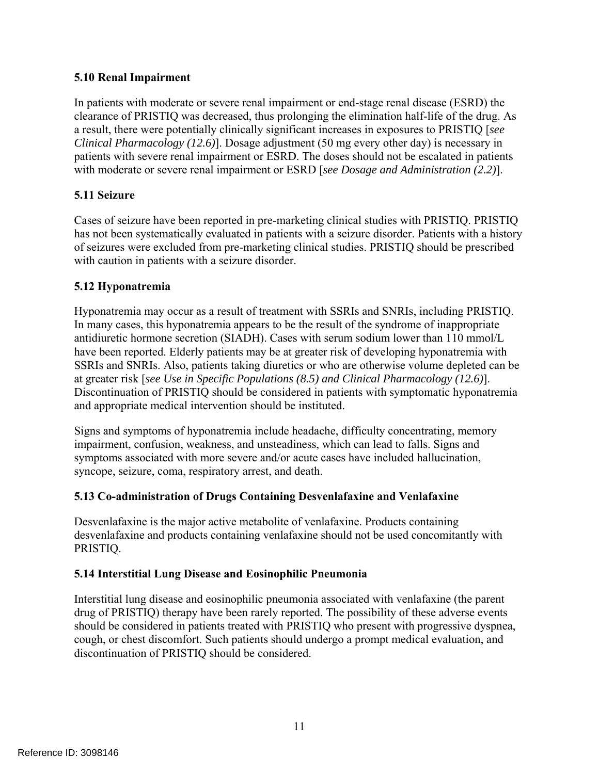## **5.10 Renal Impairment**

In patients with moderate or severe renal impairment or end-stage renal disease (ESRD) the clearance of PRISTIQ was decreased, thus prolonging the elimination half-life of the drug. As a result, there were potentially clinically significant increases in exposures to PRISTIQ [*see Clinical Pharmacology (12.6)*]. Dosage adjustment (50 mg every other day) is necessary in patients with severe renal impairment or ESRD. The doses should not be escalated in patients with moderate or severe renal impairment or ESRD [*see Dosage and Administration (2.2)*].

# **5.11 Seizure**

Cases of seizure have been reported in pre-marketing clinical studies with PRISTIQ. PRISTIQ has not been systematically evaluated in patients with a seizure disorder. Patients with a history of seizures were excluded from pre-marketing clinical studies. PRISTIQ should be prescribed with caution in patients with a seizure disorder.

## **5.12 Hyponatremia**

Hyponatremia may occur as a result of treatment with SSRIs and SNRIs, including PRISTIQ. In many cases, this hyponatremia appears to be the result of the syndrome of inappropriate antidiuretic hormone secretion (SIADH). Cases with serum sodium lower than 110 mmol/L have been reported. Elderly patients may be at greater risk of developing hyponatremia with SSRIs and SNRIs. Also, patients taking diuretics or who are otherwise volume depleted can be at greater risk [*see Use in Specific Populations (8.5) and Clinical Pharmacology (12.6)*]. Discontinuation of PRISTIQ should be considered in patients with symptomatic hyponatremia and appropriate medical intervention should be instituted.

Signs and symptoms of hyponatremia include headache, difficulty concentrating, memory impairment, confusion, weakness, and unsteadiness, which can lead to falls. Signs and symptoms associated with more severe and/or acute cases have included hallucination, syncope, seizure, coma, respiratory arrest, and death.

## **5.13 Co-administration of Drugs Containing Desvenlafaxine and Venlafaxine**

Desvenlafaxine is the major active metabolite of venlafaxine. Products containing desvenlafaxine and products containing venlafaxine should not be used concomitantly with PRISTIQ.

# **5.14 Interstitial Lung Disease and Eosinophilic Pneumonia**

Interstitial lung disease and eosinophilic pneumonia associated with venlafaxine (the parent drug of PRISTIQ) therapy have been rarely reported. The possibility of these adverse events should be considered in patients treated with PRISTIQ who present with progressive dyspnea, cough, or chest discomfort. Such patients should undergo a prompt medical evaluation, and discontinuation of PRISTIQ should be considered.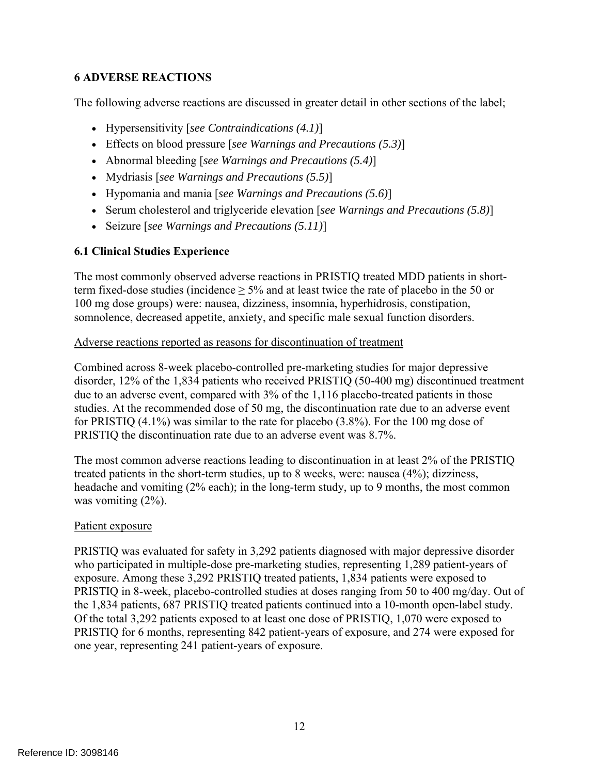## **6 ADVERSE REACTIONS**

The following adverse reactions are discussed in greater detail in other sections of the label;

- Hypersensitivity [*see Contraindications (4.1)*]
- Effects on blood pressure [*see Warnings and Precautions (5.3)*]
- Abnormal bleeding [*see Warnings and Precautions (5.4)*]
- Mydriasis [*see Warnings and Precautions (5.5)*]
- Hypomania and mania [*see Warnings and Precautions (5.6)*]
- Serum cholesterol and triglyceride elevation [*see Warnings and Precautions (5.8)*]
- Seizure [*see Warnings and Precautions (5.11)*]

## **6.1 Clinical Studies Experience**

The most commonly observed adverse reactions in PRISTIQ treated MDD patients in shortterm fixed-dose studies (incidence  $\geq$  5% and at least twice the rate of placebo in the 50 or 100 mg dose groups) were: nausea, dizziness, insomnia, hyperhidrosis, constipation, somnolence, decreased appetite, anxiety, and specific male sexual function disorders.

#### Adverse reactions reported as reasons for discontinuation of treatment

Combined across 8-week placebo-controlled pre-marketing studies for major depressive disorder, 12% of the 1,834 patients who received PRISTIQ (50-400 mg) discontinued treatment due to an adverse event, compared with 3% of the 1,116 placebo-treated patients in those studies. At the recommended dose of 50 mg, the discontinuation rate due to an adverse event for PRISTIQ (4.1%) was similar to the rate for placebo (3.8%). For the 100 mg dose of PRISTIQ the discontinuation rate due to an adverse event was 8.7%.

The most common adverse reactions leading to discontinuation in at least 2% of the PRISTIQ treated patients in the short-term studies, up to 8 weeks, were: nausea (4%); dizziness, headache and vomiting (2% each); in the long-term study, up to 9 months, the most common was vomiting  $(2\%)$ .

## Patient exposure

PRISTIQ was evaluated for safety in 3,292 patients diagnosed with major depressive disorder who participated in multiple-dose pre-marketing studies, representing 1,289 patient-years of exposure. Among these 3,292 PRISTIQ treated patients, 1,834 patients were exposed to PRISTIQ in 8-week, placebo-controlled studies at doses ranging from 50 to 400 mg/day. Out of the 1,834 patients, 687 PRISTIQ treated patients continued into a 10-month open-label study. Of the total 3,292 patients exposed to at least one dose of PRISTIQ, 1,070 were exposed to PRISTIQ for 6 months, representing 842 patient-years of exposure, and 274 were exposed for one year, representing 241 patient-years of exposure.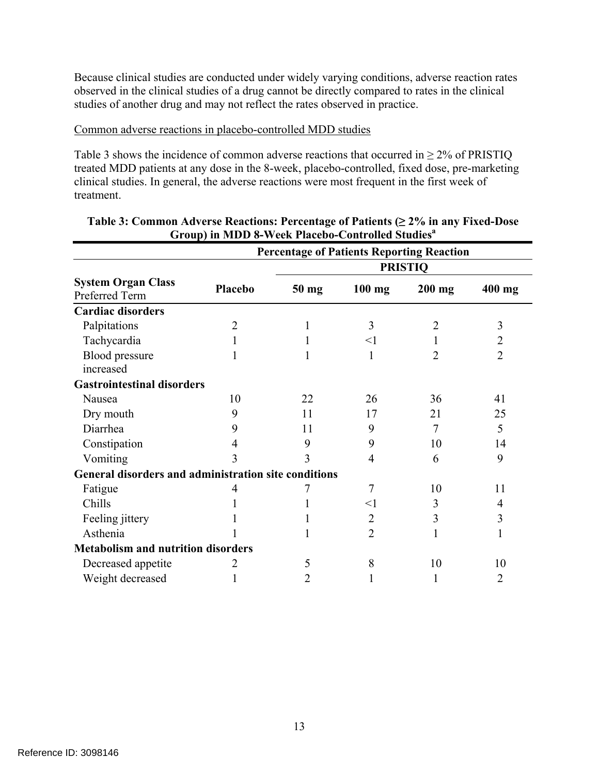Because clinical studies are conducted under widely varying conditions, adverse reaction rates observed in the clinical studies of a drug cannot be directly compared to rates in the clinical studies of another drug and may not reflect the rates observed in practice.

#### Common adverse reactions in placebo-controlled MDD studies

Table 3 shows the incidence of common adverse reactions that occurred in  $\geq$  2% of PRISTIQ treated MDD patients at any dose in the 8-week, placebo-controlled, fixed dose, pre-marketing clinical studies. In general, the adverse reactions were most frequent in the first week of treatment.

|                                                             |         |                | <b>Percentage of Patients Reporting Reaction</b> |                |                |  |
|-------------------------------------------------------------|---------|----------------|--------------------------------------------------|----------------|----------------|--|
|                                                             |         | <b>PRISTIQ</b> |                                                  |                |                |  |
| <b>System Organ Class</b><br>Preferred Term                 | Placebo | $50$ mg        | $100$ mg                                         | $200$ mg       | $400$ mg       |  |
| <b>Cardiac disorders</b>                                    |         |                |                                                  |                |                |  |
| Palpitations                                                | 2       |                | 3                                                | $\overline{2}$ | 3              |  |
| Tachycardia                                                 |         |                | $<$ 1                                            |                | 2              |  |
| <b>Blood pressure</b><br>increased                          |         |                |                                                  | $\overline{2}$ | $\overline{2}$ |  |
| <b>Gastrointestinal disorders</b>                           |         |                |                                                  |                |                |  |
| Nausea                                                      | 10      | 22             | 26                                               | 36             | 41             |  |
| Dry mouth                                                   | 9       | 11             | 17                                               | 21             | 25             |  |
| Diarrhea                                                    | 9       | 11             | 9                                                |                | 5              |  |
| Constipation                                                | 4       | 9              | 9                                                | 10             | 14             |  |
| Vomiting                                                    | 3       | 3              | $\overline{4}$                                   | 6              | 9              |  |
| <b>General disorders and administration site conditions</b> |         |                |                                                  |                |                |  |
| Fatigue                                                     | 4       |                | 7                                                | 10             | 11             |  |
| Chills                                                      |         |                | $<$ 1                                            | 3              | 4              |  |
| Feeling jittery                                             |         |                | $\overline{2}$                                   | 3              | 3              |  |
| Asthenia                                                    |         |                | $\overline{2}$                                   |                |                |  |
| <b>Metabolism and nutrition disorders</b>                   |         |                |                                                  |                |                |  |
| Decreased appetite                                          | 2       | 5              | 8                                                | 10             | 10             |  |
| Weight decreased                                            |         |                |                                                  |                | $\overline{2}$ |  |

## **Table 3: Common Adverse Reactions: Percentage of Patients (≥ 2% in any Fixed-Dose Group) in MDD 8-Week Placebo-Controlled Studies<sup>a</sup>**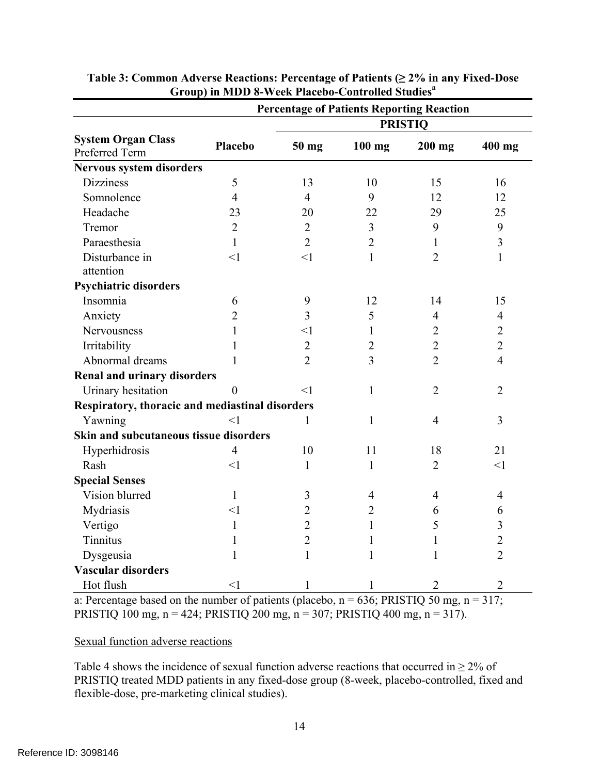|                                                 |                  | <b>Percentage of Patients Reporting Reaction</b> |                |                |                |
|-------------------------------------------------|------------------|--------------------------------------------------|----------------|----------------|----------------|
|                                                 |                  |                                                  |                | <b>PRISTIQ</b> |                |
| <b>System Organ Class</b><br>Preferred Term     | Placebo          | 50 mg                                            | 100 mg         | $200$ mg       | 400 mg         |
| <b>Nervous system disorders</b>                 |                  |                                                  |                |                |                |
| <b>Dizziness</b>                                | 5                | 13                                               | 10             | 15             | 16             |
| Somnolence                                      | $\overline{4}$   | $\overline{4}$                                   | 9              | 12             | 12             |
| Headache                                        | 23               | 20                                               | 22             | 29             | 25             |
| Tremor                                          | $\overline{2}$   | $\overline{2}$                                   | 3              | 9              | 9              |
| Paraesthesia                                    | $\mathbf{1}$     | $\overline{2}$                                   | $\overline{2}$ | 1              | $\overline{3}$ |
| Disturbance in<br>attention                     | $\leq$ 1         | $\leq$ 1                                         | $\mathbf{1}$   | $\overline{2}$ | $\mathbf{1}$   |
| <b>Psychiatric disorders</b>                    |                  |                                                  |                |                |                |
| Insomnia                                        | 6                | 9                                                | 12             | 14             | 15             |
| Anxiety                                         | 2                | 3                                                | 5              | $\overline{4}$ | $\overline{4}$ |
| Nervousness                                     | 1                | $<$ 1                                            | 1              | $\overline{2}$ | $\overline{2}$ |
| Irritability                                    | 1                | $\overline{2}$                                   | 2              | $\overline{2}$ | $\overline{2}$ |
| Abnormal dreams                                 | 1                | $\overline{2}$                                   | 3              | $\overline{2}$ | $\overline{4}$ |
| <b>Renal and urinary disorders</b>              |                  |                                                  |                |                |                |
| Urinary hesitation                              | $\boldsymbol{0}$ | <1                                               | 1              | $\overline{2}$ | $\overline{2}$ |
| Respiratory, thoracic and mediastinal disorders |                  |                                                  |                |                |                |
| Yawning                                         | $\leq$ 1         | 1                                                | 1              | $\overline{4}$ | 3              |
| Skin and subcutaneous tissue disorders          |                  |                                                  |                |                |                |
| Hyperhidrosis                                   | $\overline{4}$   | 10                                               | 11             | 18             | 21             |
| Rash                                            | $\leq$ 1         | 1                                                | 1              | $\overline{2}$ | $\leq$ 1       |
| <b>Special Senses</b>                           |                  |                                                  |                |                |                |
| Vision blurred                                  | 1                | 3                                                | 4              | 4              | 4              |
| Mydriasis                                       | $\leq$ 1         | $\overline{2}$                                   | $\overline{2}$ | 6              | 6              |
| Vertigo                                         | 1                | $\overline{2}$                                   | 1              | 5              | 3              |
| Tinnitus                                        | 1                | $\overline{2}$                                   | 1              | 1              | $\overline{2}$ |
| Dysgeusia                                       | 1                | 1                                                | 1              | 1              | $\overline{2}$ |
| <b>Vascular disorders</b>                       |                  |                                                  |                |                |                |
| Hot flush                                       | $\leq$ 1         | 1                                                | 1              | 2              | $\overline{2}$ |

**Table 3: Common Adverse Reactions: Percentage of Patients (≥ 2% in any Fixed-Dose Group) in MDD 8-Week Placebo-Controlled Studies<sup>a</sup>**

a: Percentage based on the number of patients (placebo,  $n = 636$ ; PRISTIQ 50 mg,  $n = 317$ ; PRISTIQ 100 mg, n = 424; PRISTIQ 200 mg, n = 307; PRISTIQ 400 mg, n = 317).

Sexual function adverse reactions

Table 4 shows the incidence of sexual function adverse reactions that occurred in  $\geq 2\%$  of PRISTIQ treated MDD patients in any fixed-dose group (8-week, placebo-controlled, fixed and flexible-dose, pre-marketing clinical studies).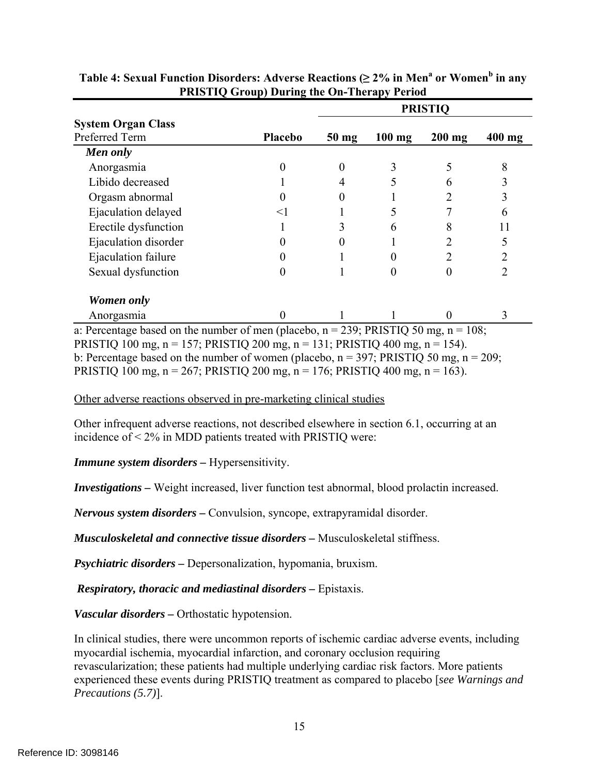|                                                                                                                                                                                                                                                                                  |                |         |          | <b>PRISTIQ</b> |        |
|----------------------------------------------------------------------------------------------------------------------------------------------------------------------------------------------------------------------------------------------------------------------------------|----------------|---------|----------|----------------|--------|
| <b>System Organ Class</b><br>Preferred Term                                                                                                                                                                                                                                      | <b>Placebo</b> | $50$ mg | $100$ mg | $200$ mg       | 400 mg |
| <b>Men only</b>                                                                                                                                                                                                                                                                  |                |         |          |                |        |
| Anorgasmia                                                                                                                                                                                                                                                                       |                |         |          |                | 8      |
| Libido decreased                                                                                                                                                                                                                                                                 |                |         |          | h              |        |
| Orgasm abnormal                                                                                                                                                                                                                                                                  |                |         |          |                |        |
| Ejaculation delayed                                                                                                                                                                                                                                                              | $\leq$ 1       |         |          |                | 6      |
| Erectile dysfunction                                                                                                                                                                                                                                                             |                |         | 6        | 8              | 11     |
| Ejaculation disorder                                                                                                                                                                                                                                                             |                |         |          |                | 5      |
| Ejaculation failure                                                                                                                                                                                                                                                              |                |         |          | 2              | 2      |
| Sexual dysfunction                                                                                                                                                                                                                                                               |                |         |          |                | 2      |
| Women only                                                                                                                                                                                                                                                                       |                |         |          |                |        |
| Anorgasmia                                                                                                                                                                                                                                                                       |                |         |          |                | 3      |
| a: Percentage based on the number of men (placebo, $n = 239$ ; PRISTIQ 50 mg, $n = 108$ ;<br>PRISTIQ 100 mg, $n = 157$ ; PRISTIQ 200 mg, $n = 131$ ; PRISTIQ 400 mg, $n = 154$ ).<br>b: Percentage based on the number of women (placebo, $n = 397$ ; PRISTIQ 50 mg, $n = 209$ ; |                |         |          |                |        |

**Table 4: Sexual Function Disorders: Adverse Reactions (≥ 2% in Men<sup>a</sup> or Women<sup>b</sup> in any PRISTIQ Group) During the On-Therapy Period** 

Other adverse reactions observed in pre-marketing clinical studies

Other infrequent adverse reactions, not described elsewhere in section 6.1, occurring at an incidence of < 2% in MDD patients treated with PRISTIQ were:

PRISTIQ 100 mg,  $n = 267$ ; PRISTIQ 200 mg,  $n = 176$ ; PRISTIQ 400 mg,  $n = 163$ ).

*Immune system disorders –* Hypersensitivity.

*Investigations –* Weight increased, liver function test abnormal, blood prolactin increased.

*Nervous system disorders –* Convulsion, syncope, extrapyramidal disorder.

*Musculoskeletal and connective tissue disorders –* Musculoskeletal stiffness.

*Psychiatric disorders –* Depersonalization, hypomania, bruxism.

*Respiratory, thoracic and mediastinal disorders –* Epistaxis.

*Vascular disorders –* Orthostatic hypotension.

In clinical studies, there were uncommon reports of ischemic cardiac adverse events, including myocardial ischemia, myocardial infarction, and coronary occlusion requiring revascularization; these patients had multiple underlying cardiac risk factors. More patients experienced these events during PRISTIQ treatment as compared to placebo [*see Warnings and Precautions (5.7)*].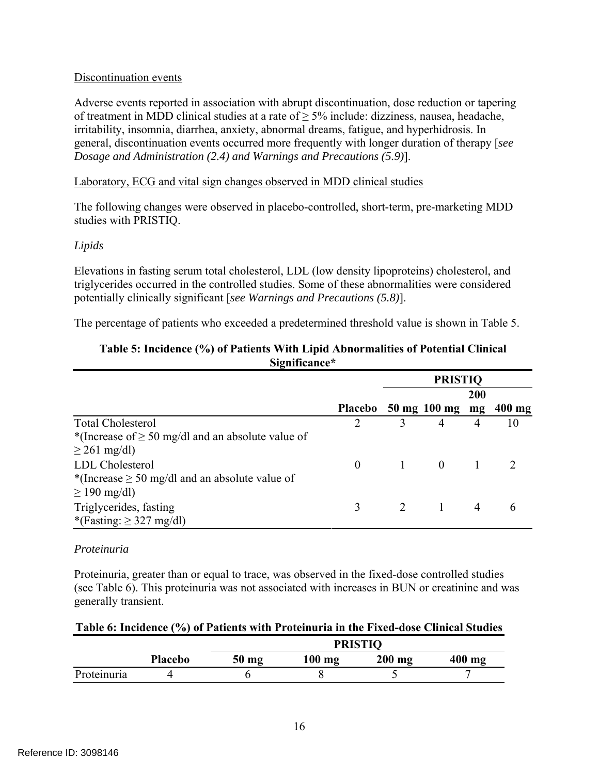#### Discontinuation events

Adverse events reported in association with abrupt discontinuation, dose reduction or tapering of treatment in MDD clinical studies at a rate of  $\geq$  5% include: dizziness, nausea, headache, irritability, insomnia, diarrhea, anxiety, abnormal dreams, fatigue, and hyperhidrosis. In general, discontinuation events occurred more frequently with longer duration of therapy [*see Dosage and Administration (2.4) and Warnings and Precautions (5.9)*].

#### Laboratory, ECG and vital sign changes observed in MDD clinical studies

The following changes were observed in placebo-controlled, short-term, pre-marketing MDD studies with PRISTIQ.

## *Lipids*

Elevations in fasting serum total cholesterol, LDL (low density lipoproteins) cholesterol, and triglycerides occurred in the controlled studies. Some of these abnormalities were considered potentially clinically significant [*see Warnings and Precautions (5.8)*].

The percentage of patients who exceeded a predetermined threshold value is shown in Table 5.

|                                                        |                                |             | <b>PRISTIQ</b> |                |          |
|--------------------------------------------------------|--------------------------------|-------------|----------------|----------------|----------|
|                                                        |                                |             |                | 200            |          |
|                                                        | Placebo 50 mg 100 mg mg 400 mg |             |                |                |          |
| <b>Total Cholesterol</b>                               | 2                              | $3^{\circ}$ | $\overline{4}$ | $\overline{4}$ | 10       |
| *(Increase of $\geq$ 50 mg/dl and an absolute value of |                                |             |                |                |          |
| $\geq$ 261 mg/dl)                                      |                                |             |                |                |          |
| LDL Cholesterol                                        | $\overline{0}$                 | $1 \t 0$    |                |                | $1 \t 2$ |
| *(Increase $\geq$ 50 mg/dl and an absolute value of    |                                |             |                |                |          |
| $\geq$ 190 mg/dl)                                      |                                |             |                |                |          |
| Triglycerides, fasting                                 | 3                              |             | 2 $1$ 4        |                | 6        |
| *(Fasting: $\geq$ 327 mg/dl)                           |                                |             |                |                |          |

#### **Table 5: Incidence (%) of Patients With Lipid Abnormalities of Potential Clinical Significance\***

#### *Proteinuria*

Proteinuria, greater than or equal to trace, was observed in the fixed-dose controlled studies (see Table 6). This proteinuria was not associated with increases in BUN or creatinine and was generally transient.

| Table 6: Incidence (%) of Patients with Proteinuria in the Fixed-dose Clinical Studies |  |
|----------------------------------------------------------------------------------------|--|
|----------------------------------------------------------------------------------------|--|

|             |                |         |          | <b>PRISTIO</b> |          |
|-------------|----------------|---------|----------|----------------|----------|
|             | <b>Placebo</b> | $50$ mg | $100$ mg | $200$ mg       | $400$ mg |
| Proteinuria |                |         |          |                |          |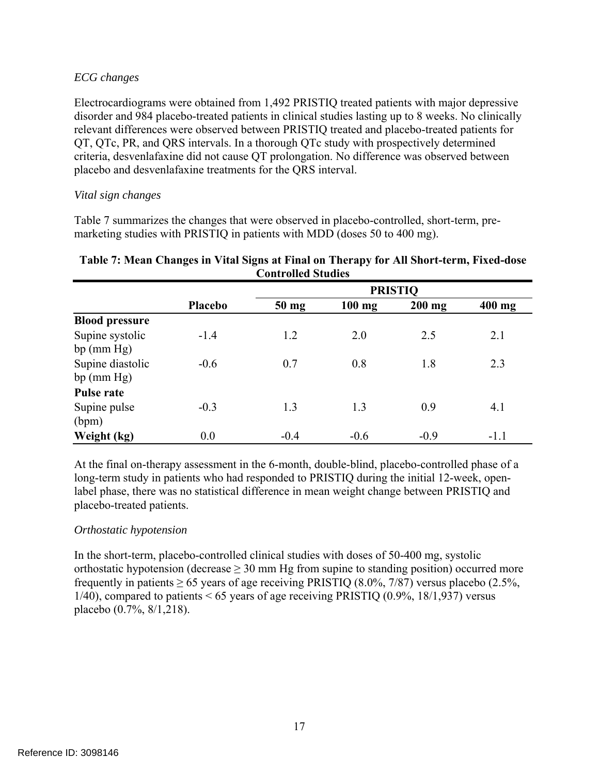## *ECG changes*

Electrocardiograms were obtained from 1,492 PRISTIQ treated patients with major depressive disorder and 984 placebo-treated patients in clinical studies lasting up to 8 weeks. No clinically relevant differences were observed between PRISTIQ treated and placebo-treated patients for QT, QTc, PR, and QRS intervals. In a thorough QTc study with prospectively determined criteria, desvenlafaxine did not cause QT prolongation. No difference was observed between placebo and desvenlafaxine treatments for the QRS interval.

## *Vital sign changes*

Table 7 summarizes the changes that were observed in placebo-controlled, short-term, premarketing studies with PRISTIQ in patients with MDD (doses 50 to 400 mg).

| Controlled Studies               |         |         |          |                |          |
|----------------------------------|---------|---------|----------|----------------|----------|
|                                  |         |         |          | <b>PRISTIQ</b> |          |
|                                  | Placebo | $50$ mg | $100$ mg | $200$ mg       | $400$ mg |
| <b>Blood pressure</b>            |         |         |          |                |          |
| Supine systolic<br>bp $(mm Hg)$  | $-1.4$  | 1.2     | 2.0      | 2.5            | 2.1      |
| Supine diastolic<br>bp $(mm Hg)$ | $-0.6$  | 0.7     | 0.8      | 1.8            | 2.3      |
| <b>Pulse rate</b>                |         |         |          |                |          |
| Supine pulse<br>(bpm)            | $-0.3$  | 1.3     | 1.3      | 0.9            | 4.1      |
| Weight (kg)                      | 0.0     | $-0.4$  | $-0.6$   | $-0.9$         | $-1.1$   |

#### **Table 7: Mean Changes in Vital Signs at Final on Therapy for All Short-term, Fixed-dose Controlled Studies**

At the final on-therapy assessment in the 6-month, double-blind, placebo-controlled phase of a long-term study in patients who had responded to PRISTIQ during the initial 12-week, openlabel phase, there was no statistical difference in mean weight change between PRISTIQ and placebo-treated patients.

# *Orthostatic hypotension*

In the short-term, placebo-controlled clinical studies with doses of 50-400 mg, systolic orthostatic hypotension (decrease  $\geq$  30 mm Hg from supine to standing position) occurred more frequently in patients  $\geq 65$  years of age receiving PRISTIQ (8.0%, 7/87) versus placebo (2.5%, 1/40), compared to patients  $\leq 65$  years of age receiving PRISTIQ (0.9%, 18/1,937) versus placebo (0.7%, 8/1,218).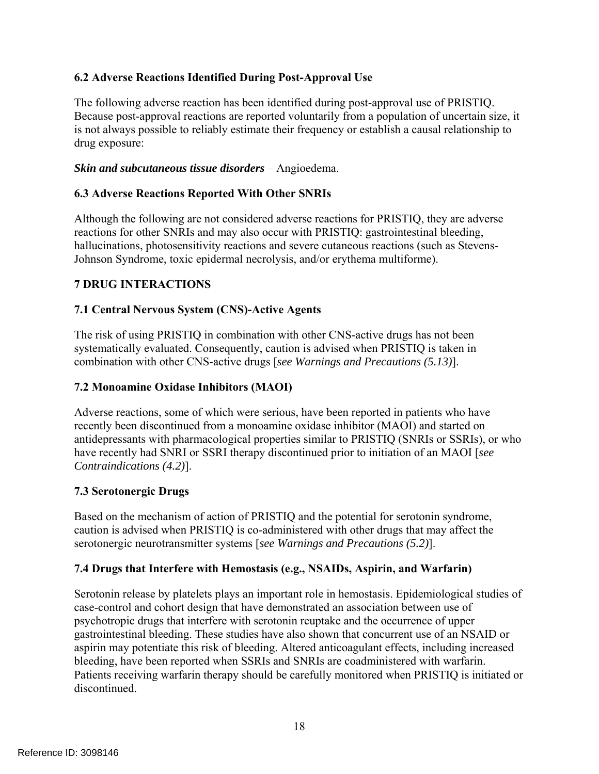## **6.2 Adverse Reactions Identified During Post-Approval Use**

The following adverse reaction has been identified during post-approval use of PRISTIQ. Because post-approval reactions are reported voluntarily from a population of uncertain size, it is not always possible to reliably estimate their frequency or establish a causal relationship to drug exposure:

## *Skin and subcutaneous tissue disorders* – Angioedema.

## **6.3 Adverse Reactions Reported With Other SNRIs**

Although the following are not considered adverse reactions for PRISTIQ, they are adverse reactions for other SNRIs and may also occur with PRISTIQ: gastrointestinal bleeding, hallucinations, photosensitivity reactions and severe cutaneous reactions (such as Stevens-Johnson Syndrome, toxic epidermal necrolysis, and/or erythema multiforme).

# **7 DRUG INTERACTIONS**

## **7.1 Central Nervous System (CNS)-Active Agents**

The risk of using PRISTIQ in combination with other CNS-active drugs has not been systematically evaluated. Consequently, caution is advised when PRISTIQ is taken in combination with other CNS-active drugs [*see Warnings and Precautions (5.13)*].

## **7.2 Monoamine Oxidase Inhibitors (MAOI)**

Adverse reactions, some of which were serious, have been reported in patients who have recently been discontinued from a monoamine oxidase inhibitor (MAOI) and started on antidepressants with pharmacological properties similar to PRISTIQ (SNRIs or SSRIs), or who have recently had SNRI or SSRI therapy discontinued prior to initiation of an MAOI [*see Contraindications (4.2)*].

## **7.3 Serotonergic Drugs**

Based on the mechanism of action of PRISTIQ and the potential for serotonin syndrome, caution is advised when PRISTIQ is co-administered with other drugs that may affect the serotonergic neurotransmitter systems [*see Warnings and Precautions (5.2)*].

## **7.4 Drugs that Interfere with Hemostasis (e.g., NSAIDs, Aspirin, and Warfarin)**

Serotonin release by platelets plays an important role in hemostasis. Epidemiological studies of case-control and cohort design that have demonstrated an association between use of psychotropic drugs that interfere with serotonin reuptake and the occurrence of upper gastrointestinal bleeding. These studies have also shown that concurrent use of an NSAID or aspirin may potentiate this risk of bleeding. Altered anticoagulant effects, including increased bleeding, have been reported when SSRIs and SNRIs are coadministered with warfarin. Patients receiving warfarin therapy should be carefully monitored when PRISTIQ is initiated or discontinued.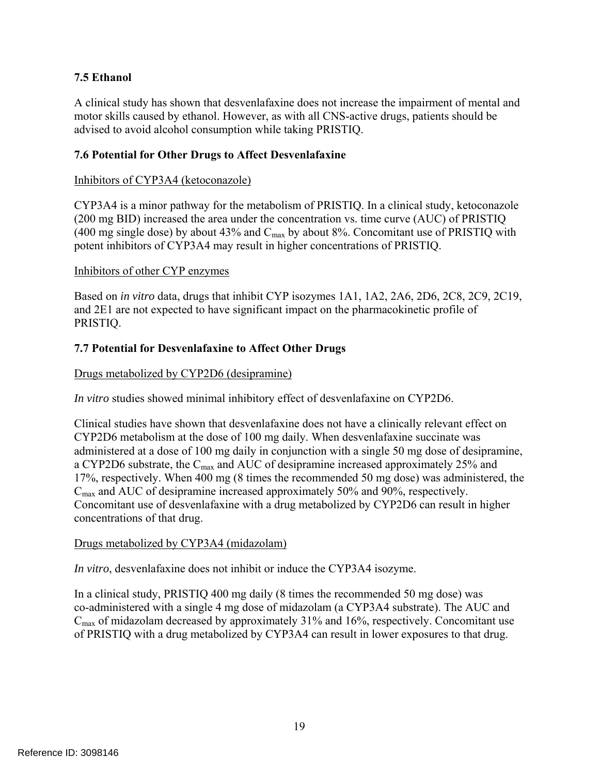## **7.5 Ethanol**

A clinical study has shown that desvenlafaxine does not increase the impairment of mental and motor skills caused by ethanol. However, as with all CNS-active drugs, patients should be advised to avoid alcohol consumption while taking PRISTIQ.

## **7.6 Potential for Other Drugs to Affect Desvenlafaxine**

#### Inhibitors of CYP3A4 (ketoconazole)

CYP3A4 is a minor pathway for the metabolism of PRISTIQ. In a clinical study, ketoconazole (200 mg BID) increased the area under the concentration vs. time curve (AUC) of PRISTIQ (400 mg single dose) by about 43% and  $C_{\text{max}}$  by about 8%. Concomitant use of PRISTIQ with potent inhibitors of CYP3A4 may result in higher concentrations of PRISTIQ.

#### Inhibitors of other CYP enzymes

Based on *in vitro* data, drugs that inhibit CYP isozymes 1A1, 1A2, 2A6, 2D6, 2C8, 2C9, 2C19, and 2E1 are not expected to have significant impact on the pharmacokinetic profile of PRISTIQ.

## **7.7 Potential for Desvenlafaxine to Affect Other Drugs**

## Drugs metabolized by CYP2D6 (desipramine)

*In vitro* studies showed minimal inhibitory effect of desvenlafaxine on CYP2D6.

Clinical studies have shown that desvenlafaxine does not have a clinically relevant effect on CYP2D6 metabolism at the dose of 100 mg daily. When desvenlafaxine succinate was administered at a dose of 100 mg daily in conjunction with a single 50 mg dose of desipramine, a CYP2D6 substrate, the C<sub>max</sub> and AUC of desipramine increased approximately 25% and 17%, respectively. When 400 mg (8 times the recommended 50 mg dose) was administered, the  $C_{\text{max}}$  and AUC of desipramine increased approximately 50% and 90%, respectively. Concomitant use of desvenlafaxine with a drug metabolized by CYP2D6 can result in higher concentrations of that drug.

#### Drugs metabolized by CYP3A4 (midazolam)

*In vitro*, desvenlafaxine does not inhibit or induce the CYP3A4 isozyme.

In a clinical study, PRISTIQ 400 mg daily (8 times the recommended 50 mg dose) was co-administered with a single 4 mg dose of midazolam (a CYP3A4 substrate). The AUC and  $C_{\text{max}}$  of midazolam decreased by approximately 31% and 16%, respectively. Concomitant use of PRISTIQ with a drug metabolized by CYP3A4 can result in lower exposures to that drug.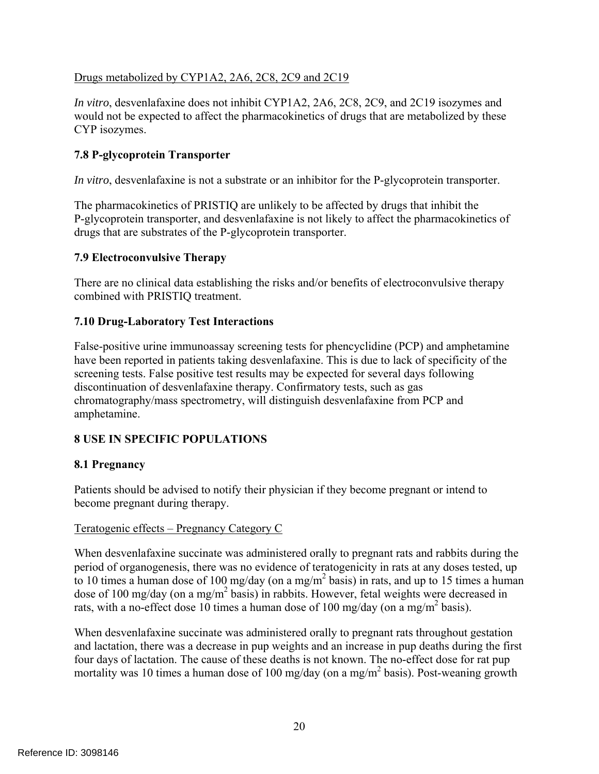## Drugs metabolized by CYP1A2, 2A6, 2C8, 2C9 and 2C19

*In vitro*, desvenlafaxine does not inhibit CYP1A2, 2A6, 2C8, 2C9, and 2C19 isozymes and would not be expected to affect the pharmacokinetics of drugs that are metabolized by these CYP isozymes.

## **7.8 P-glycoprotein Transporter**

*In vitro*, desvenlafaxine is not a substrate or an inhibitor for the P-glycoprotein transporter.

The pharmacokinetics of PRISTIQ are unlikely to be affected by drugs that inhibit the P-glycoprotein transporter, and desvenlafaxine is not likely to affect the pharmacokinetics of drugs that are substrates of the P-glycoprotein transporter.

## **7.9 Electroconvulsive Therapy**

There are no clinical data establishing the risks and/or benefits of electroconvulsive therapy combined with PRISTIQ treatment.

## **7.10 Drug-Laboratory Test Interactions**

False-positive urine immunoassay screening tests for phencyclidine (PCP) and amphetamine have been reported in patients taking desvenlafaxine. This is due to lack of specificity of the screening tests. False positive test results may be expected for several days following discontinuation of desvenlafaxine therapy. Confirmatory tests, such as gas chromatography/mass spectrometry, will distinguish desvenlafaxine from PCP and amphetamine.

# **8 USE IN SPECIFIC POPULATIONS**

# **8.1 Pregnancy**

Patients should be advised to notify their physician if they become pregnant or intend to become pregnant during therapy.

## Teratogenic effects – Pregnancy Category C

When desvenlafaxine succinate was administered orally to pregnant rats and rabbits during the period of organogenesis, there was no evidence of teratogenicity in rats at any doses tested, up to 10 times a human dose of 100 mg/day (on a mg/m<sup>2</sup> basis) in rats, and up to 15 times a human dose of 100 mg/day (on a mg/m<sup>2</sup> basis) in rabbits. However, fetal weights were decreased in rats, with a no-effect dose 10 times a human dose of 100 mg/day (on a mg/m<sup>2</sup> basis).

When desvenlafaxine succinate was administered orally to pregnant rats throughout gestation and lactation, there was a decrease in pup weights and an increase in pup deaths during the first four days of lactation. The cause of these deaths is not known. The no-effect dose for rat pup mortality was 10 times a human dose of 100 mg/day (on a mg/m<sup>2</sup> basis). Post-weaning growth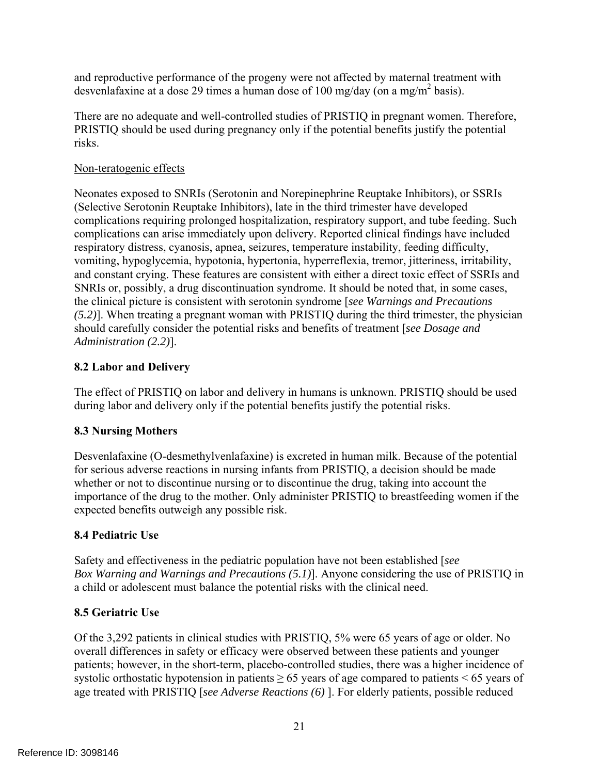and reproductive performance of the progeny were not affected by maternal treatment with desvenlafaxine at a dose 29 times a human dose of 100 mg/day (on a mg/m<sup>2</sup> basis).

There are no adequate and well-controlled studies of PRISTIQ in pregnant women. Therefore, PRISTIQ should be used during pregnancy only if the potential benefits justify the potential risks.

## Non-teratogenic effects

Neonates exposed to SNRIs (Serotonin and Norepinephrine Reuptake Inhibitors), or SSRIs (Selective Serotonin Reuptake Inhibitors), late in the third trimester have developed complications requiring prolonged hospitalization, respiratory support, and tube feeding. Such complications can arise immediately upon delivery. Reported clinical findings have included respiratory distress, cyanosis, apnea, seizures, temperature instability, feeding difficulty, vomiting, hypoglycemia, hypotonia, hypertonia, hyperreflexia, tremor, jitteriness, irritability, and constant crying. These features are consistent with either a direct toxic effect of SSRIs and SNRIs or, possibly, a drug discontinuation syndrome. It should be noted that, in some cases, the clinical picture is consistent with serotonin syndrome [*see Warnings and Precautions (5.2)*]. When treating a pregnant woman with PRISTIQ during the third trimester, the physician should carefully consider the potential risks and benefits of treatment [*see Dosage and Administration (2.2)*].

# **8.2 Labor and Delivery**

The effect of PRISTIQ on labor and delivery in humans is unknown. PRISTIQ should be used during labor and delivery only if the potential benefits justify the potential risks.

# **8.3 Nursing Mothers**

Desvenlafaxine (O-desmethylvenlafaxine) is excreted in human milk. Because of the potential for serious adverse reactions in nursing infants from PRISTIQ, a decision should be made whether or not to discontinue nursing or to discontinue the drug, taking into account the importance of the drug to the mother. Only administer PRISTIQ to breastfeeding women if the expected benefits outweigh any possible risk.

# **8.4 Pediatric Use**

Safety and effectiveness in the pediatric population have not been established [*see Box Warning and Warnings and Precautions (5.1)*]. Anyone considering the use of PRISTIQ in a child or adolescent must balance the potential risks with the clinical need.

# **8.5 Geriatric Use**

Of the 3,292 patients in clinical studies with PRISTIQ, 5% were 65 years of age or older. No overall differences in safety or efficacy were observed between these patients and younger patients; however, in the short-term, placebo-controlled studies, there was a higher incidence of systolic orthostatic hypotension in patients  $\geq 65$  years of age compared to patients  $\leq 65$  years of age treated with PRISTIQ [*see Adverse Reactions (6)* ]. For elderly patients, possible reduced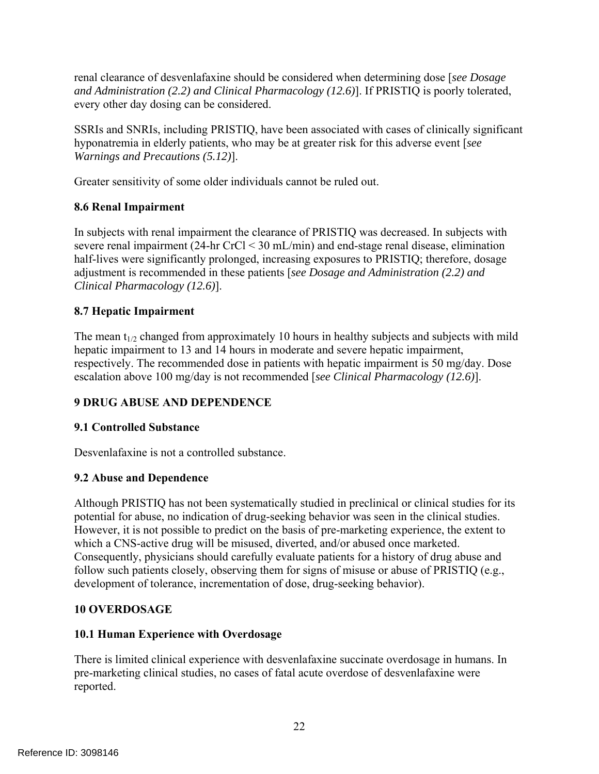renal clearance of desvenlafaxine should be considered when determining dose [*see Dosage and Administration (2.2) and Clinical Pharmacology (12.6)*]. If PRISTIQ is poorly tolerated, every other day dosing can be considered.

SSRIs and SNRIs, including PRISTIQ, have been associated with cases of clinically significant hyponatremia in elderly patients, who may be at greater risk for this adverse event [*see Warnings and Precautions (5.12)*].

Greater sensitivity of some older individuals cannot be ruled out.

# **8.6 Renal Impairment**

In subjects with renal impairment the clearance of PRISTIQ was decreased. In subjects with severe renal impairment (24-hr CrCl < 30 mL/min) and end-stage renal disease, elimination half-lives were significantly prolonged, increasing exposures to PRISTIQ; therefore, dosage adjustment is recommended in these patients [*see Dosage and Administration (2.2) and Clinical Pharmacology (12.6)*].

# **8.7 Hepatic Impairment**

The mean  $t_{1/2}$  changed from approximately 10 hours in healthy subjects and subjects with mild hepatic impairment to 13 and 14 hours in moderate and severe hepatic impairment, respectively. The recommended dose in patients with hepatic impairment is 50 mg/day. Dose escalation above 100 mg/day is not recommended [*see Clinical Pharmacology (12.6)*].

# **9 DRUG ABUSE AND DEPENDENCE**

# **9.1 Controlled Substance**

Desvenlafaxine is not a controlled substance.

# **9.2 Abuse and Dependence**

Although PRISTIQ has not been systematically studied in preclinical or clinical studies for its potential for abuse, no indication of drug-seeking behavior was seen in the clinical studies. However, it is not possible to predict on the basis of pre-marketing experience, the extent to which a CNS-active drug will be misused, diverted, and/or abused once marketed. Consequently, physicians should carefully evaluate patients for a history of drug abuse and follow such patients closely, observing them for signs of misuse or abuse of PRISTIQ (e.g., development of tolerance, incrementation of dose, drug-seeking behavior).

# **10 OVERDOSAGE**

# **10.1 Human Experience with Overdosage**

There is limited clinical experience with desvenlafaxine succinate overdosage in humans. In pre-marketing clinical studies, no cases of fatal acute overdose of desvenlafaxine were reported.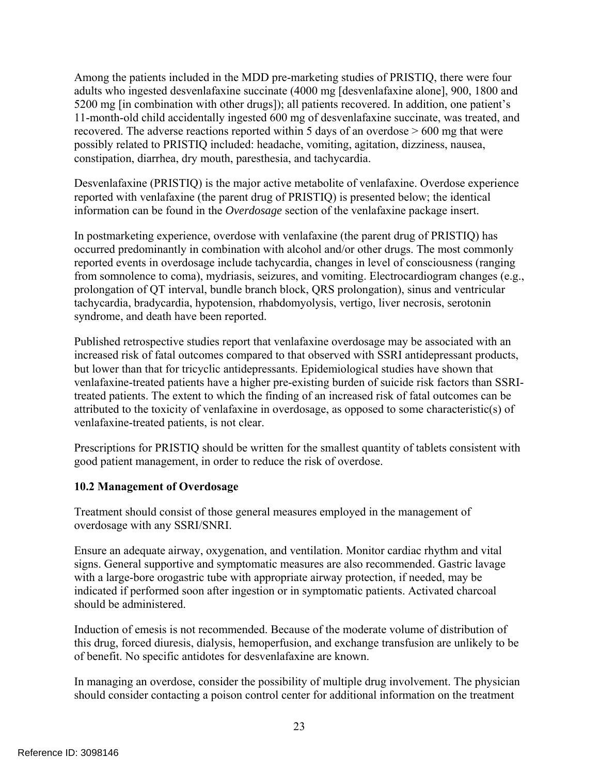Among the patients included in the MDD pre-marketing studies of PRISTIQ, there were four adults who ingested desvenlafaxine succinate (4000 mg [desvenlafaxine alone], 900, 1800 and 5200 mg [in combination with other drugs]); all patients recovered. In addition, one patient's 11-month-old child accidentally ingested 600 mg of desvenlafaxine succinate, was treated, and recovered. The adverse reactions reported within 5 days of an overdose > 600 mg that were possibly related to PRISTIQ included: headache, vomiting, agitation, dizziness, nausea, constipation, diarrhea, dry mouth, paresthesia, and tachycardia.

Desvenlafaxine (PRISTIQ) is the major active metabolite of venlafaxine. Overdose experience reported with venlafaxine (the parent drug of PRISTIQ) is presented below; the identical information can be found in the *Overdosage* section of the venlafaxine package insert.

In postmarketing experience, overdose with venlafaxine (the parent drug of PRISTIQ) has occurred predominantly in combination with alcohol and/or other drugs. The most commonly reported events in overdosage include tachycardia, changes in level of consciousness (ranging from somnolence to coma), mydriasis, seizures, and vomiting. Electrocardiogram changes (e.g., prolongation of QT interval, bundle branch block, QRS prolongation), sinus and ventricular tachycardia, bradycardia, hypotension, rhabdomyolysis, vertigo, liver necrosis, serotonin syndrome, and death have been reported.

Published retrospective studies report that venlafaxine overdosage may be associated with an increased risk of fatal outcomes compared to that observed with SSRI antidepressant products, but lower than that for tricyclic antidepressants. Epidemiological studies have shown that venlafaxine-treated patients have a higher pre-existing burden of suicide risk factors than SSRItreated patients. The extent to which the finding of an increased risk of fatal outcomes can be attributed to the toxicity of venlafaxine in overdosage, as opposed to some characteristic(s) of venlafaxine-treated patients, is not clear.

Prescriptions for PRISTIQ should be written for the smallest quantity of tablets consistent with good patient management, in order to reduce the risk of overdose.

## **10.2 Management of Overdosage**

Treatment should consist of those general measures employed in the management of overdosage with any SSRI/SNRI.

Ensure an adequate airway, oxygenation, and ventilation. Monitor cardiac rhythm and vital signs. General supportive and symptomatic measures are also recommended. Gastric lavage with a large-bore orogastric tube with appropriate airway protection, if needed, may be indicated if performed soon after ingestion or in symptomatic patients. Activated charcoal should be administered.

Induction of emesis is not recommended. Because of the moderate volume of distribution of this drug, forced diuresis, dialysis, hemoperfusion, and exchange transfusion are unlikely to be of benefit. No specific antidotes for desvenlafaxine are known.

In managing an overdose, consider the possibility of multiple drug involvement. The physician should consider contacting a poison control center for additional information on the treatment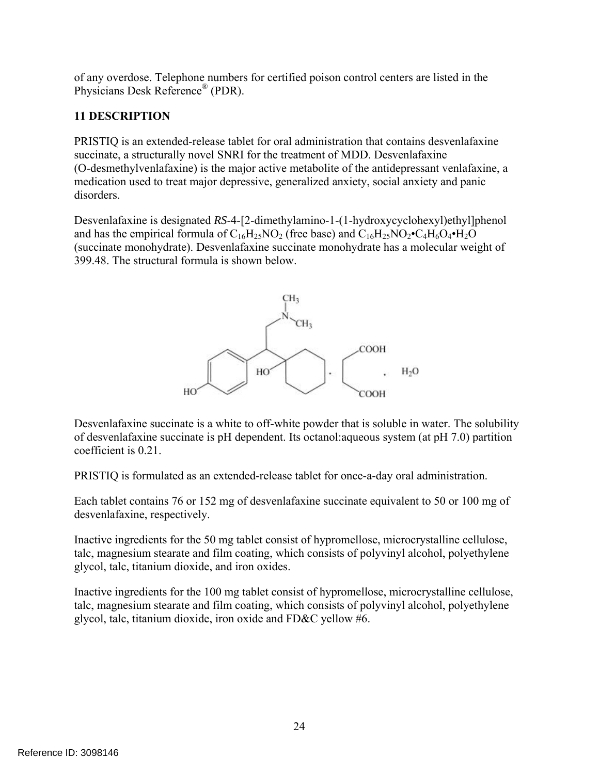of any overdose. Telephone numbers for certified poison control centers are listed in the Physicians Desk Reference® (PDR).

## **11 DESCRIPTION**

PRISTIQ is an extended-release tablet for oral administration that contains desvenlafaxine succinate, a structurally novel SNRI for the treatment of MDD. Desvenlafaxine (O-desmethylvenlafaxine) is the major active metabolite of the antidepressant venlafaxine, a medication used to treat major depressive, generalized anxiety, social anxiety and panic disorders.

Desvenlafaxine is designated *RS*-4-[2-dimethylamino-1-(1-hydroxycyclohexyl)ethyl]phenol and has the empirical formula of  $C_{16}H_{25}NO_2$  (free base) and  $C_{16}H_{25}NO_2 \cdot C_4H_6O_4 \cdot H_2O$ (succinate monohydrate). Desvenlafaxine succinate monohydrate has a molecular weight of 399.48. The structural formula is shown below.



Desvenlafaxine succinate is a white to off-white powder that is soluble in water. The solubility of desvenlafaxine succinate is pH dependent. Its octanol:aqueous system (at pH 7.0) partition coefficient is 0.21.

PRISTIQ is formulated as an extended-release tablet for once-a-day oral administration.

Each tablet contains 76 or 152 mg of desvenlafaxine succinate equivalent to 50 or 100 mg of desvenlafaxine, respectively.

Inactive ingredients for the 50 mg tablet consist of hypromellose, microcrystalline cellulose, talc, magnesium stearate and film coating, which consists of polyvinyl alcohol, polyethylene glycol, talc, titanium dioxide, and iron oxides.

Inactive ingredients for the 100 mg tablet consist of hypromellose, microcrystalline cellulose, talc, magnesium stearate and film coating, which consists of polyvinyl alcohol, polyethylene glycol, talc, titanium dioxide, iron oxide and FD&C yellow #6.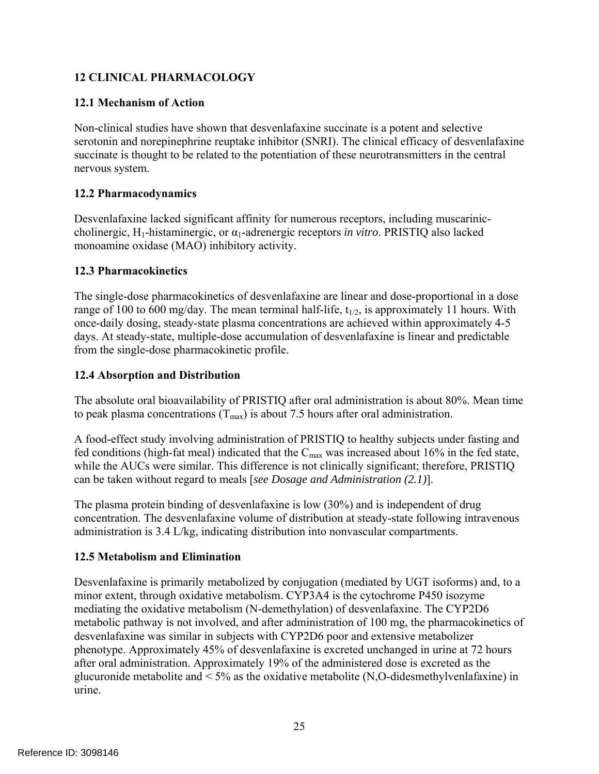# **12 CLINICAL PHARMACOLOGY**

## **12.1 Mechanism of Action**

Non-clinical studies have shown that desvenlafaxine succinate is a potent and selective serotonin and norepinephrine reuptake inhibitor (SNRI). The clinical efficacy of desvenlafaxine succinate is thought to be related to the potentiation of these neurotransmitters in the central nervous system.

## **12.2 Pharmacodynamics**

Desvenlafaxine lacked significant affinity for numerous receptors, including muscariniccholinergic, H1-histaminergic, or α1-adrenergic receptors *in vitro*. PRISTIQ also lacked monoamine oxidase (MAO) inhibitory activity.

## **12.3 Pharmacokinetics**

The single-dose pharmacokinetics of desvenlafaxine are linear and dose-proportional in a dose range of 100 to 600 mg/day. The mean terminal half-life,  $t_{1/2}$ , is approximately 11 hours. With once-daily dosing, steady-state plasma concentrations are achieved within approximately 4-5 days. At steady-state, multiple-dose accumulation of desvenlafaxine is linear and predictable from the single-dose pharmacokinetic profile.

# **12.4 Absorption and Distribution**

The absolute oral bioavailability of PRISTIQ after oral administration is about 80%. Mean time to peak plasma concentrations  $(T_{max})$  is about 7.5 hours after oral administration.

A food-effect study involving administration of PRISTIQ to healthy subjects under fasting and fed conditions (high-fat meal) indicated that the  $C_{\text{max}}$  was increased about 16% in the fed state, while the AUCs were similar. This difference is not clinically significant; therefore, PRISTIQ can be taken without regard to meals [*see Dosage and Administration (2.1)*].

The plasma protein binding of desvenlafaxine is low (30%) and is independent of drug concentration. The desvenlafaxine volume of distribution at steady-state following intravenous administration is 3.4 L/kg, indicating distribution into nonvascular compartments.

# **12.5 Metabolism and Elimination**

Desvenlafaxine is primarily metabolized by conjugation (mediated by UGT isoforms) and, to a minor extent, through oxidative metabolism. CYP3A4 is the cytochrome P450 isozyme mediating the oxidative metabolism (N-demethylation) of desvenlafaxine. The CYP2D6 metabolic pathway is not involved, and after administration of 100 mg, the pharmacokinetics of desvenlafaxine was similar in subjects with CYP2D6 poor and extensive metabolizer phenotype. Approximately 45% of desvenlafaxine is excreted unchanged in urine at 72 hours after oral administration. Approximately 19% of the administered dose is excreted as the glucuronide metabolite and  $\leq 5\%$  as the oxidative metabolite (N,O-didesmethylvenlafaxine) in urine.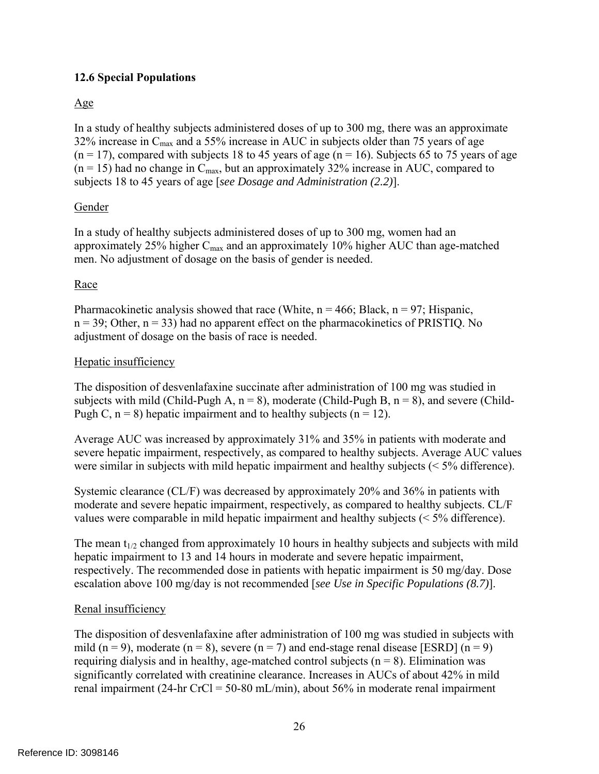# **12.6 Special Populations**

## Age

In a study of healthy subjects administered doses of up to 300 mg, there was an approximate 32% increase in  $C_{\text{max}}$  and a 55% increase in AUC in subjects older than 75 years of age  $(n = 17)$ , compared with subjects 18 to 45 years of age  $(n = 16)$ . Subjects 65 to 75 years of age  $(n = 15)$  had no change in  $C_{\text{max}}$ , but an approximately 32% increase in AUC, compared to subjects 18 to 45 years of age [*see Dosage and Administration (2.2)*].

## Gender

In a study of healthy subjects administered doses of up to 300 mg, women had an approximately 25% higher  $C_{\text{max}}$  and an approximately 10% higher AUC than age-matched men. No adjustment of dosage on the basis of gender is needed.

## Race

Pharmacokinetic analysis showed that race (White,  $n = 466$ ; Black,  $n = 97$ ; Hispanic,  $n = 39$ ; Other,  $n = 33$ ) had no apparent effect on the pharmacokinetics of PRISTIQ. No adjustment of dosage on the basis of race is needed.

## Hepatic insufficiency

The disposition of desvenlafaxine succinate after administration of 100 mg was studied in subjects with mild (Child-Pugh A,  $n = 8$ ), moderate (Child-Pugh B,  $n = 8$ ), and severe (Child-Pugh C,  $n = 8$ ) hepatic impairment and to healthy subjects ( $n = 12$ ).

Average AUC was increased by approximately 31% and 35% in patients with moderate and severe hepatic impairment, respectively, as compared to healthy subjects. Average AUC values were similar in subjects with mild hepatic impairment and healthy subjects (< 5% difference).

Systemic clearance (CL/F) was decreased by approximately 20% and 36% in patients with moderate and severe hepatic impairment, respectively, as compared to healthy subjects. CL/F values were comparable in mild hepatic impairment and healthy subjects (< 5% difference).

The mean  $t_{1/2}$  changed from approximately 10 hours in healthy subjects and subjects with mild hepatic impairment to 13 and 14 hours in moderate and severe hepatic impairment, respectively. The recommended dose in patients with hepatic impairment is 50 mg/day. Dose escalation above 100 mg/day is not recommended [*see Use in Specific Populations (8.7)*].

## Renal insufficiency

The disposition of desvenlafaxine after administration of 100 mg was studied in subjects with mild (n = 9), moderate (n = 8), severe (n = 7) and end-stage renal disease [ESRD] (n = 9) requiring dialysis and in healthy, age-matched control subjects ( $n = 8$ ). Elimination was significantly correlated with creatinine clearance. Increases in AUCs of about 42% in mild renal impairment (24-hr CrCl = 50-80 mL/min), about 56% in moderate renal impairment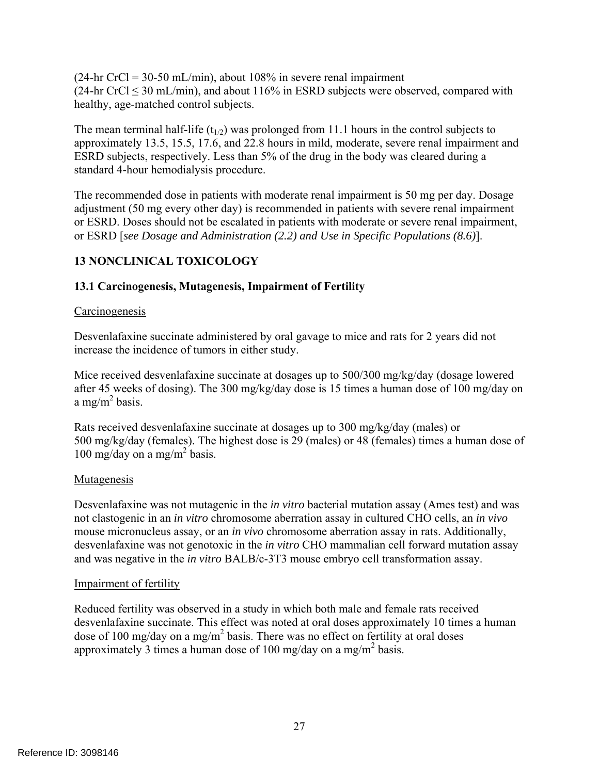$(24\text{-}hr \, \text{CrCl} = 30\text{-}50 \, \text{mL/min})$ , about 108% in severe renal impairment  $(24-hr CrCl \leq 30 mL/min)$ , and about 116% in ESRD subjects were observed, compared with healthy, age-matched control subjects.

The mean terminal half-life ( $t_{1/2}$ ) was prolonged from 11.1 hours in the control subjects to approximately 13.5, 15.5, 17.6, and 22.8 hours in mild, moderate, severe renal impairment and ESRD subjects, respectively. Less than 5% of the drug in the body was cleared during a standard 4-hour hemodialysis procedure.

The recommended dose in patients with moderate renal impairment is 50 mg per day. Dosage adjustment (50 mg every other day) is recommended in patients with severe renal impairment or ESRD. Doses should not be escalated in patients with moderate or severe renal impairment, or ESRD [*see Dosage and Administration (2.2) and Use in Specific Populations (8.6)*].

## **13 NONCLINICAL TOXICOLOGY**

## **13.1 Carcinogenesis, Mutagenesis, Impairment of Fertility**

#### **Carcinogenesis**

Desvenlafaxine succinate administered by oral gavage to mice and rats for 2 years did not increase the incidence of tumors in either study.

Mice received desvenlafaxine succinate at dosages up to 500/300 mg/kg/day (dosage lowered after 45 weeks of dosing). The 300 mg/kg/day dose is 15 times a human dose of 100 mg/day on a mg/m<sup>2</sup> basis.

Rats received desvenlafaxine succinate at dosages up to 300 mg/kg/day (males) or 500 mg/kg/day (females). The highest dose is 29 (males) or 48 (females) times a human dose of 100 mg/day on a mg/m<sup>2</sup> basis.

## **Mutagenesis**

Desvenlafaxine was not mutagenic in the *in vitro* bacterial mutation assay (Ames test) and was not clastogenic in an *in vitro* chromosome aberration assay in cultured CHO cells, an *in vivo*  mouse micronucleus assay, or an *in vivo* chromosome aberration assay in rats. Additionally, desvenlafaxine was not genotoxic in the *in vitro* CHO mammalian cell forward mutation assay and was negative in the *in vitro* BALB/c-3T3 mouse embryo cell transformation assay.

## Impairment of fertility

Reduced fertility was observed in a study in which both male and female rats received desvenlafaxine succinate. This effect was noted at oral doses approximately 10 times a human dose of 100 mg/day on a mg/m<sup>2</sup> basis. There was no effect on fertility at oral doses approximately 3 times a human dose of 100 mg/day on a mg/m<sup>2</sup> basis.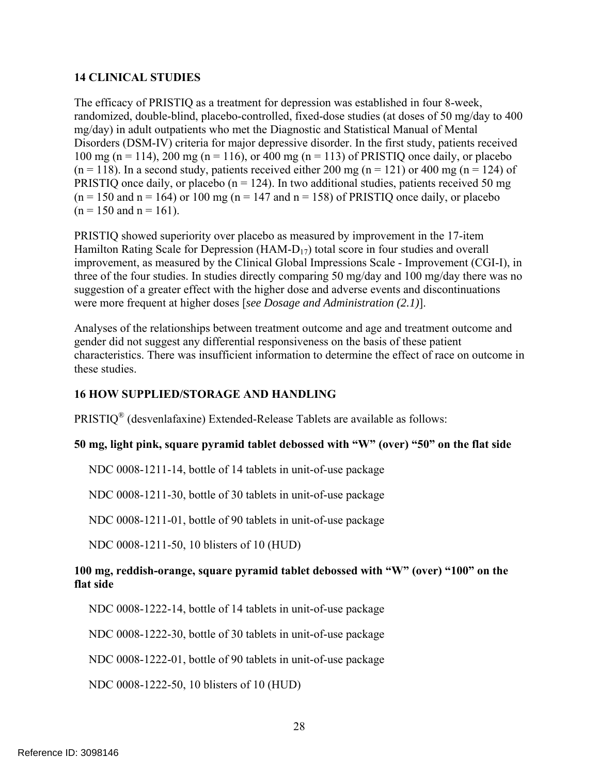## **14 CLINICAL STUDIES**

The efficacy of PRISTIQ as a treatment for depression was established in four 8-week, randomized, double-blind, placebo-controlled, fixed-dose studies (at doses of 50 mg/day to 400 mg/day) in adult outpatients who met the Diagnostic and Statistical Manual of Mental Disorders (DSM-IV) criteria for major depressive disorder. In the first study, patients received 100 mg (n = 114), 200 mg (n = 116), or 400 mg (n = 113) of PRISTIQ once daily, or placebo  $(n = 118)$ . In a second study, patients received either 200 mg  $(n = 121)$  or 400 mg  $(n = 124)$  of PRISTIO once daily, or placebo ( $n = 124$ ). In two additional studies, patients received 50 mg  $(n = 150 \text{ and } n = 164)$  or 100 mg  $(n = 147 \text{ and } n = 158)$  of PRISTIQ once daily, or placebo  $(n = 150 \text{ and } n = 161).$ 

PRISTIQ showed superiority over placebo as measured by improvement in the 17-item Hamilton Rating Scale for Depression  $(HAM-D_{17})$  total score in four studies and overall improvement, as measured by the Clinical Global Impressions Scale - Improvement (CGI-I), in three of the four studies. In studies directly comparing 50 mg/day and 100 mg/day there was no suggestion of a greater effect with the higher dose and adverse events and discontinuations were more frequent at higher doses [*see Dosage and Administration (2.1)*].

Analyses of the relationships between treatment outcome and age and treatment outcome and gender did not suggest any differential responsiveness on the basis of these patient characteristics. There was insufficient information to determine the effect of race on outcome in these studies.

## **16 HOW SUPPLIED/STORAGE AND HANDLING**

PRISTIQ® (desvenlafaxine) Extended-Release Tablets are available as follows:

## **50 mg, light pink, square pyramid tablet debossed with "W" (over) "50" on the flat side**

NDC 0008-1211-14, bottle of 14 tablets in unit-of-use package

NDC 0008-1211-30, bottle of 30 tablets in unit-of-use package

NDC 0008-1211-01, bottle of 90 tablets in unit-of-use package

NDC 0008-1211-50, 10 blisters of 10 (HUD)

## **100 mg, reddish-orange, square pyramid tablet debossed with "W" (over) "100" on the flat side**

NDC 0008-1222-14, bottle of 14 tablets in unit-of-use package

NDC 0008-1222-30, bottle of 30 tablets in unit-of-use package

NDC 0008-1222-01, bottle of 90 tablets in unit-of-use package

NDC 0008-1222-50, 10 blisters of 10 (HUD)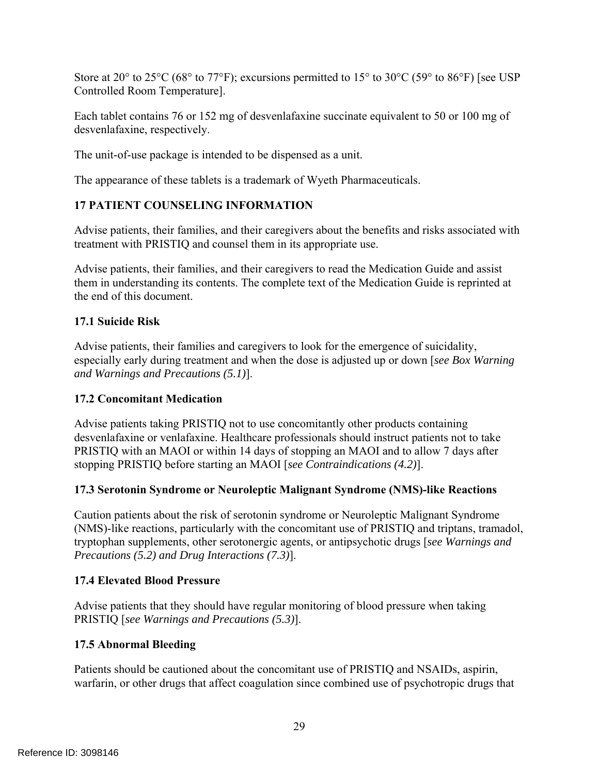Store at 20 $\degree$  to 25 $\degree$ C (68 $\degree$  to 77 $\degree$ F); excursions permitted to 15 $\degree$  to 30 $\degree$ C (59 $\degree$  to 86 $\degree$ F) [see USP Controlled Room Temperature].

Each tablet contains 76 or 152 mg of desvenlafaxine succinate equivalent to 50 or 100 mg of desvenlafaxine, respectively.

The unit-of-use package is intended to be dispensed as a unit.

The appearance of these tablets is a trademark of Wyeth Pharmaceuticals.

# **17 PATIENT COUNSELING INFORMATION**

Advise patients, their families, and their caregivers about the benefits and risks associated with treatment with PRISTIQ and counsel them in its appropriate use.

Advise patients, their families, and their caregivers to read the Medication Guide and assist them in understanding its contents. The complete text of the Medication Guide is reprinted at the end of this document.

# **17.1 Suicide Risk**

Advise patients, their families and caregivers to look for the emergence of suicidality, especially early during treatment and when the dose is adjusted up or down [*see Box Warning and Warnings and Precautions (5.1)*].

# **17.2 Concomitant Medication**

Advise patients taking PRISTIQ not to use concomitantly other products containing desvenlafaxine or venlafaxine. Healthcare professionals should instruct patients not to take PRISTIQ with an MAOI or within 14 days of stopping an MAOI and to allow 7 days after stopping PRISTIQ before starting an MAOI [*see Contraindications (4.2)*].

# **17.3 Serotonin Syndrome or Neuroleptic Malignant Syndrome (NMS)-like Reactions**

Caution patients about the risk of serotonin syndrome or Neuroleptic Malignant Syndrome (NMS)-like reactions, particularly with the concomitant use of PRISTIQ and triptans, tramadol, tryptophan supplements, other serotonergic agents, or antipsychotic drugs [*see Warnings and Precautions (5.2) and Drug Interactions (7.3)*].

# **17.4 Elevated Blood Pressure**

Advise patients that they should have regular monitoring of blood pressure when taking PRISTIQ [*see Warnings and Precautions (5.3)*].

# **17.5 Abnormal Bleeding**

Patients should be cautioned about the concomitant use of PRISTIQ and NSAIDs, aspirin, warfarin, or other drugs that affect coagulation since combined use of psychotropic drugs that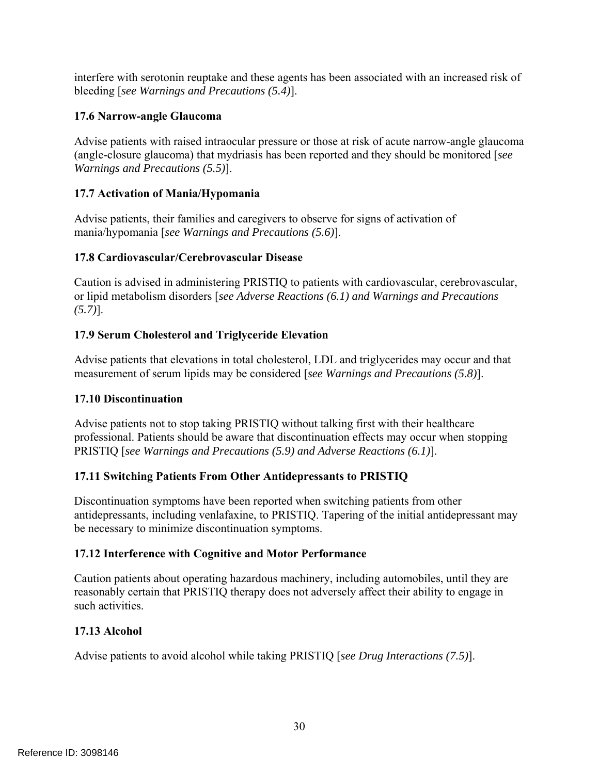interfere with serotonin reuptake and these agents has been associated with an increased risk of bleeding [*see Warnings and Precautions (5.4)*].

# **17.6 Narrow-angle Glaucoma**

Advise patients with raised intraocular pressure or those at risk of acute narrow-angle glaucoma (angle-closure glaucoma) that mydriasis has been reported and they should be monitored [*see Warnings and Precautions (5.5)*].

## **17.7 Activation of Mania/Hypomania**

Advise patients, their families and caregivers to observe for signs of activation of mania/hypomania [*see Warnings and Precautions (5.6)*].

## **17.8 Cardiovascular/Cerebrovascular Disease**

Caution is advised in administering PRISTIQ to patients with cardiovascular, cerebrovascular, or lipid metabolism disorders [*see Adverse Reactions (6.1) and Warnings and Precautions (5.7)*].

# **17.9 Serum Cholesterol and Triglyceride Elevation**

Advise patients that elevations in total cholesterol, LDL and triglycerides may occur and that measurement of serum lipids may be considered [*see Warnings and Precautions (5.8)*].

## **17.10 Discontinuation**

Advise patients not to stop taking PRISTIQ without talking first with their healthcare professional. Patients should be aware that discontinuation effects may occur when stopping PRISTIQ [*see Warnings and Precautions (5.9) and Adverse Reactions (6.1)*].

# **17.11 Switching Patients From Other Antidepressants to PRISTIQ**

Discontinuation symptoms have been reported when switching patients from other antidepressants, including venlafaxine, to PRISTIQ. Tapering of the initial antidepressant may be necessary to minimize discontinuation symptoms.

# **17.12 Interference with Cognitive and Motor Performance**

Caution patients about operating hazardous machinery, including automobiles, until they are reasonably certain that PRISTIQ therapy does not adversely affect their ability to engage in such activities.

# **17.13 Alcohol**

Advise patients to avoid alcohol while taking PRISTIQ [*see Drug Interactions (7.5)*].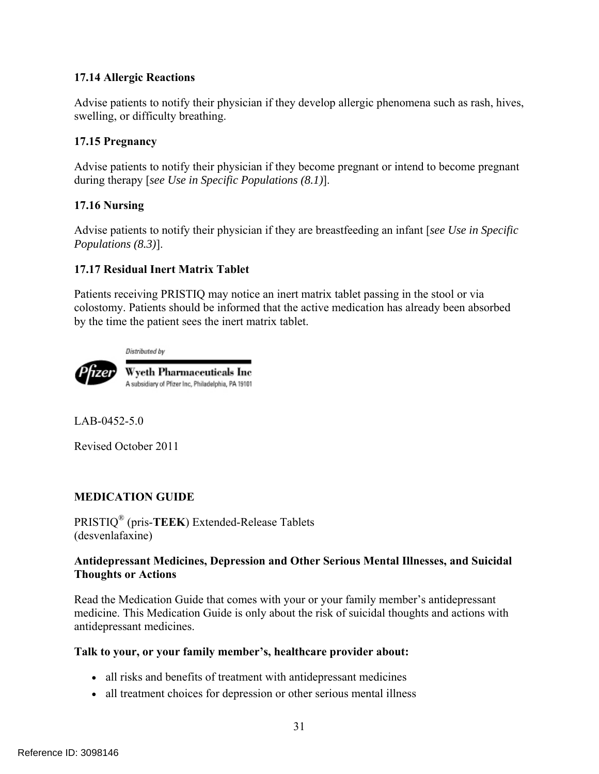## **17.14 Allergic Reactions**

Advise patients to notify their physician if they develop allergic phenomena such as rash, hives, swelling, or difficulty breathing.

## **17.15 Pregnancy**

Advise patients to notify their physician if they become pregnant or intend to become pregnant during therapy [*see Use in Specific Populations (8.1)*].

## **17.16 Nursing**

Advise patients to notify their physician if they are breastfeeding an infant [*see Use in Specific Populations (8.3)*].

## **17.17 Residual Inert Matrix Tablet**

Distributed by

Patients receiving PRISTIQ may notice an inert matrix tablet passing in the stool or via colostomy. Patients should be informed that the active medication has already been absorbed by the time the patient sees the inert matrix tablet.



Wyeth Pharmaceuticals Inc A subsidiary of Pfizer Inc, Philadelphia, PA 19101

LAB-0452-5.0

Revised October 2011

# **MEDICATION GUIDE**

PRISTIQ® (pris-**TEEK**) Extended-Release Tablets (desvenlafaxine)

## **Antidepressant Medicines, Depression and Other Serious Mental Illnesses, and Suicidal Thoughts or Actions**

 antidepressant medicines. Read the Medication Guide that comes with your or your family member's antidepressant medicine. This Medication Guide is only about the risk of suicidal thoughts and actions with

## **Talk to your, or your family member's, healthcare provider about:**

- all risks and benefits of treatment with antidepressant medicines
- all treatment choices for depression or other serious mental illness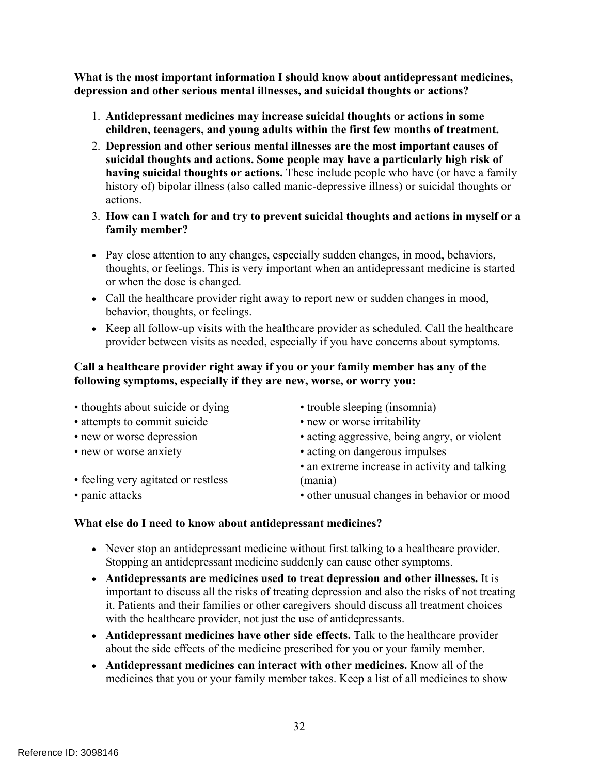**What is the most important information I should know about antidepressant medicines, depression and other serious mental illnesses, and suicidal thoughts or actions?** 

- 1. **Antidepressant medicines may increase suicidal thoughts or actions in some children, teenagers, and young adults within the first few months of treatment.**
- 2. **Depression and other serious mental illnesses are the most important causes of suicidal thoughts and actions. Some people may have a particularly high risk of having suicidal thoughts or actions.** These include people who have (or have a family history of) bipolar illness (also called manic-depressive illness) or suicidal thoughts or actions.
- 3. **How can I watch for and try to prevent suicidal thoughts and actions in myself or a family member?**
- Pay close attention to any changes, especially sudden changes, in mood, behaviors, thoughts, or feelings. This is very important when an antidepressant medicine is started or when the dose is changed.
- Call the healthcare provider right away to report new or sudden changes in mood, behavior, thoughts, or feelings.
- Keep all follow-up visits with the healthcare provider as scheduled. Call the healthcare provider between visits as needed, especially if you have concerns about symptoms.

## **Call a healthcare provider right away if you or your family member has any of the following symptoms, especially if they are new, worse, or worry you:**

| • thoughts about suicide or dying   | • trouble sleeping (insomnia)                 |
|-------------------------------------|-----------------------------------------------|
| • attempts to commit suicide        | • new or worse irritability                   |
| • new or worse depression           | • acting aggressive, being angry, or violent  |
| • new or worse anxiety              | • acting on dangerous impulses                |
|                                     | • an extreme increase in activity and talking |
| • feeling very agitated or restless | (mania)                                       |
| • panic attacks                     | • other unusual changes in behavior or mood   |

## **What else do I need to know about antidepressant medicines?**

- Never stop an antidepressant medicine without first talking to a healthcare provider. Stopping an antidepressant medicine suddenly can cause other symptoms.
- **Antidepressants are medicines used to treat depression and other illnesses.** It is important to discuss all the risks of treating depression and also the risks of not treating it. Patients and their families or other caregivers should discuss all treatment choices with the healthcare provider, not just the use of antidepressants.
- **Antidepressant medicines have other side effects.** Talk to the healthcare provider about the side effects of the medicine prescribed for you or your family member.
- **Antidepressant medicines can interact with other medicines.** Know all of the medicines that you or your family member takes. Keep a list of all medicines to show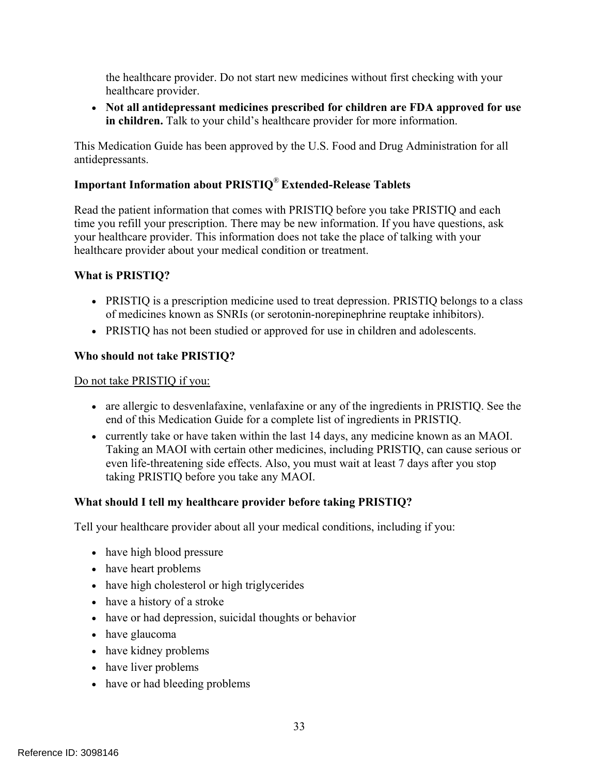the healthcare provider. Do not start new medicines without first checking with your healthcare provider.

 **Not all antidepressant medicines prescribed for children are FDA approved for use in children.** Talk to your child's healthcare provider for more information.

This Medication Guide has been approved by the U.S. Food and Drug Administration for all antidepressants.

# **Important Information about PRISTIQ**® **Extended-Release Tablets**

Read the patient information that comes with PRISTIQ before you take PRISTIQ and each time you refill your prescription. There may be new information. If you have questions, ask your healthcare provider. This information does not take the place of talking with your healthcare provider about your medical condition or treatment.

## **What is PRISTIQ?**

- PRISTIQ is a prescription medicine used to treat depression. PRISTIQ belongs to a class of medicines known as SNRIs (or serotonin-norepinephrine reuptake inhibitors).
- PRISTIO has not been studied or approved for use in children and adolescents.

# **Who should not take PRISTIQ?**

## Do not take PRISTIQ if you:

- are allergic to desvenlafaxine, venlafaxine or any of the ingredients in PRISTIQ. See the end of this Medication Guide for a complete list of ingredients in PRISTIQ.
- currently take or have taken within the last 14 days, any medicine known as an MAOI. Taking an MAOI with certain other medicines, including PRISTIQ, can cause serious or even life-threatening side effects. Also, you must wait at least 7 days after you stop taking PRISTIQ before you take any MAOI.

# **What should I tell my healthcare provider before taking PRISTIQ?**

Tell your healthcare provider about all your medical conditions, including if you:

- have high blood pressure
- have heart problems
- have high cholesterol or high triglycerides
- have a history of a stroke
- have or had depression, suicidal thoughts or behavior
- have glaucoma
- have kidney problems
- have liver problems
- have or had bleeding problems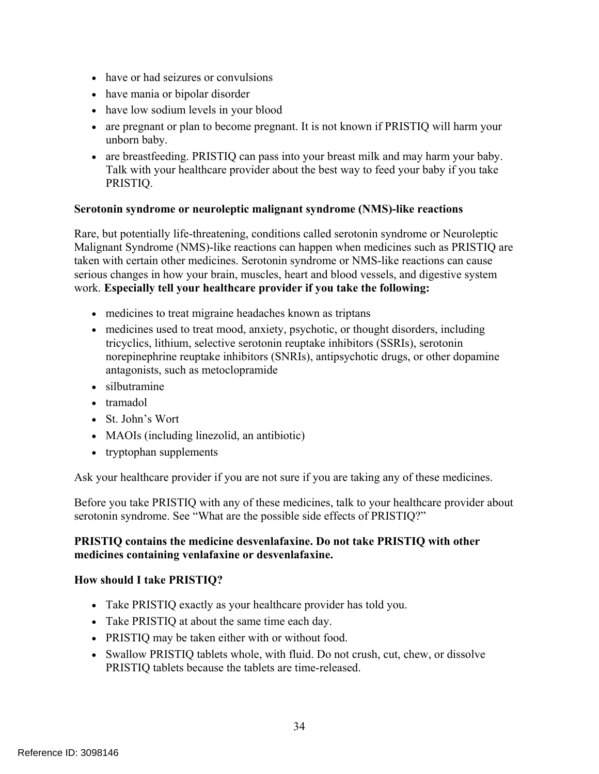- have or had seizures or convulsions
- have mania or bipolar disorder
- have low sodium levels in your blood
- are pregnant or plan to become pregnant. It is not known if PRISTIQ will harm your unborn baby.
- are breastfeeding. PRISTIQ can pass into your breast milk and may harm your baby. Talk with your healthcare provider about the best way to feed your baby if you take PRISTIQ.

#### **Serotonin syndrome or neuroleptic malignant syndrome (NMS)-like reactions**

Rare, but potentially life-threatening, conditions called serotonin syndrome or Neuroleptic Malignant Syndrome (NMS)-like reactions can happen when medicines such as PRISTIQ are taken with certain other medicines. Serotonin syndrome or NMS-like reactions can cause serious changes in how your brain, muscles, heart and blood vessels, and digestive system work. **Especially tell your healthcare provider if you take the following:** 

- medicines to treat migraine headaches known as triptans
- medicines used to treat mood, anxiety, psychotic, or thought disorders, including tricyclics, lithium, selective serotonin reuptake inhibitors (SSRIs), serotonin norepinephrine reuptake inhibitors (SNRIs), antipsychotic drugs, or other dopamine antagonists, such as metoclopramide
- silbutramine
- tramadol
- St. John's Wort
- MAOIs (including linezolid, an antibiotic)
- tryptophan supplements

Ask your healthcare provider if you are not sure if you are taking any of these medicines.

Before you take PRISTIQ with any of these medicines, talk to your healthcare provider about serotonin syndrome. See "What are the possible side effects of PRISTIQ?"

#### **PRISTIQ contains the medicine desvenlafaxine. Do not take PRISTIQ with other medicines containing venlafaxine or desvenlafaxine.**

#### **How should I take PRISTIQ?**

- Take PRISTIQ exactly as your healthcare provider has told you.
- Take PRISTIQ at about the same time each day.
- PRISTIO may be taken either with or without food.
- Swallow PRISTIQ tablets whole, with fluid. Do not crush, cut, chew, or dissolve PRISTIQ tablets because the tablets are time-released.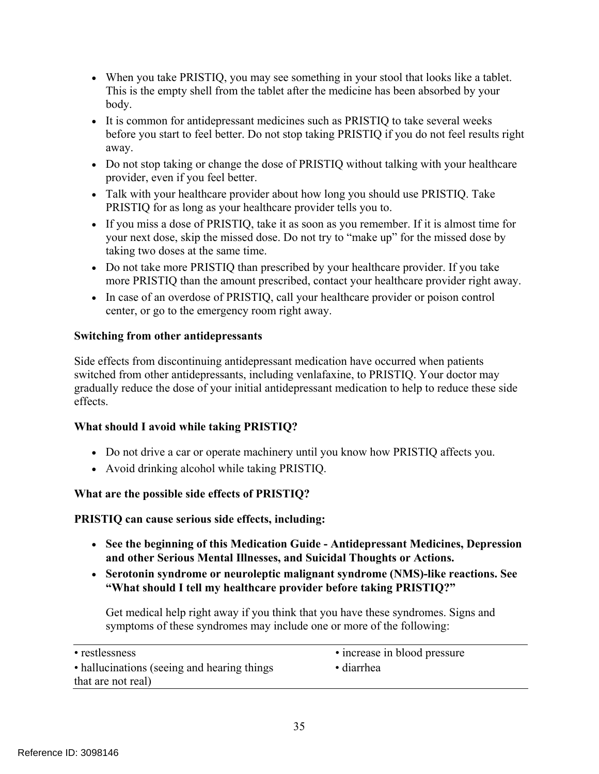- When you take PRISTIQ, you may see something in your stool that looks like a tablet. This is the empty shell from the tablet after the medicine has been absorbed by your body.
- It is common for antidepressant medicines such as PRISTIQ to take several weeks before you start to feel better. Do not stop taking PRISTIQ if you do not feel results right away.
- Do not stop taking or change the dose of PRISTIQ without talking with your healthcare provider, even if you feel better.
- Talk with your healthcare provider about how long you should use PRISTIQ. Take PRISTIQ for as long as your healthcare provider tells you to.
- If you miss a dose of PRISTIQ, take it as soon as you remember. If it is almost time for your next dose, skip the missed dose. Do not try to "make up" for the missed dose by taking two doses at the same time.
- Do not take more PRISTIQ than prescribed by your healthcare provider. If you take more PRISTIQ than the amount prescribed, contact your healthcare provider right away.
- In case of an overdose of PRISTIQ, call your healthcare provider or poison control center, or go to the emergency room right away.

## **Switching from other antidepressants**

Side effects from discontinuing antidepressant medication have occurred when patients switched from other antidepressants, including venlafaxine, to PRISTIQ. Your doctor may gradually reduce the dose of your initial antidepressant medication to help to reduce these side effects.

# **What should I avoid while taking PRISTIQ?**

- Do not drive a car or operate machinery until you know how PRISTIQ affects you.
- Avoid drinking alcohol while taking PRISTIQ.

# **What are the possible side effects of PRISTIQ?**

## **PRISTIQ can cause serious side effects, including:**

- **See the beginning of this Medication Guide Antidepressant Medicines, Depression and other Serious Mental Illnesses, and Suicidal Thoughts or Actions.**
- **Serotonin syndrome or neuroleptic malignant syndrome (NMS)-like reactions. See "What should I tell my healthcare provider before taking PRISTIQ?"**

Get medical help right away if you think that you have these syndromes. Signs and symptoms of these syndromes may include one or more of the following:

| • restlessness                              | • increase in blood pressure |
|---------------------------------------------|------------------------------|
| • hallucinations (seeing and hearing things | • diarrhea                   |
| that are not real)                          |                              |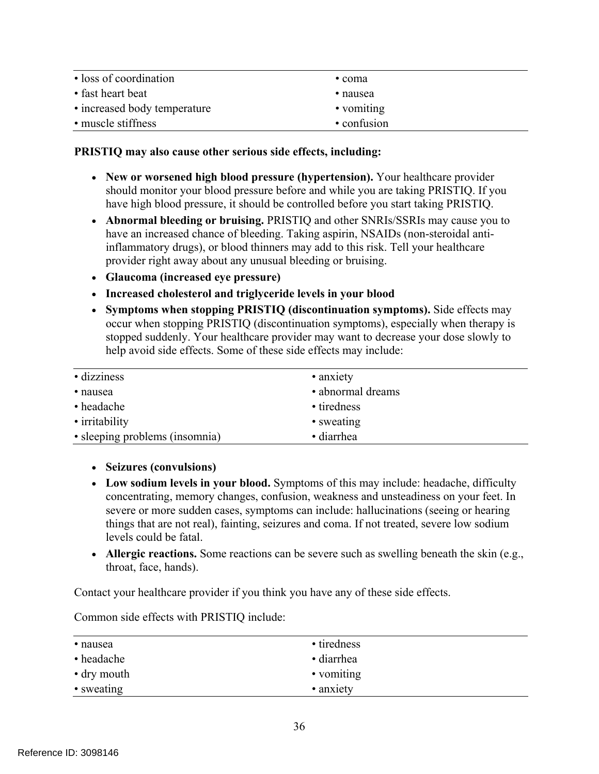| • loss of coordination       | • coma      |
|------------------------------|-------------|
| • fast heart beat            | • nausea    |
| • increased body temperature | • vomiting  |
| • muscle stiffness           | • confusion |

#### **PRISTIQ may also cause other serious side effects, including:**

- **New or worsened high blood pressure (hypertension).** Your healthcare provider should monitor your blood pressure before and while you are taking PRISTIQ. If you have high blood pressure, it should be controlled before you start taking PRISTIQ.
- **Abnormal bleeding or bruising.** PRISTIQ and other SNRIs/SSRIs may cause you to have an increased chance of bleeding. Taking aspirin, NSAIDs (non-steroidal antiinflammatory drugs), or blood thinners may add to this risk. Tell your healthcare provider right away about any unusual bleeding or bruising.
- **Glaucoma (increased eye pressure)**
- **Increased cholesterol and triglyceride levels in your blood**
- **Symptoms when stopping PRISTIQ (discontinuation symptoms).** Side effects may occur when stopping PRISTIQ (discontinuation symptoms), especially when therapy is stopped suddenly. Your healthcare provider may want to decrease your dose slowly to help avoid side effects. Some of these side effects may include:

| • dizziness                    | • anxiety         |
|--------------------------------|-------------------|
| • nausea                       | • abnormal dreams |
| • headache                     | • tiredness       |
| • irritability                 | • sweating        |
| • sleeping problems (insomnia) | • diarrhea        |

## **Seizures (convulsions)**

- **Low sodium levels in your blood.** Symptoms of this may include: headache, difficulty concentrating, memory changes, confusion, weakness and unsteadiness on your feet. In severe or more sudden cases, symptoms can include: hallucinations (seeing or hearing things that are not real), fainting, seizures and coma. If not treated, severe low sodium levels could be fatal.
- **Allergic reactions.** Some reactions can be severe such as swelling beneath the skin (e.g., throat, face, hands).

Contact your healthcare provider if you think you have any of these side effects.

Common side effects with PRISTIQ include:

| • headache<br>• diarrhea<br>• vomiting<br>$\cdot$ dry mouth | • nausea   | • tiredness |  |
|-------------------------------------------------------------|------------|-------------|--|
|                                                             |            |             |  |
|                                                             |            |             |  |
|                                                             | • sweating | • anxiety   |  |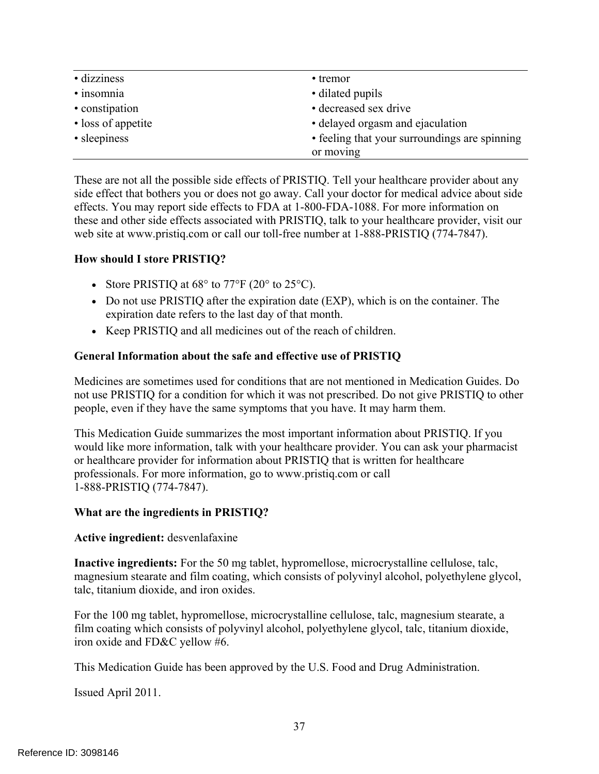| · dizziness        | • tremor                                      |
|--------------------|-----------------------------------------------|
| · insomnia         | • dilated pupils                              |
| • constipation     | • decreased sex drive                         |
| • loss of appetite | • delayed orgasm and ejaculation              |
| • sleepiness       | • feeling that your surroundings are spinning |
|                    | or moving                                     |

These are not all the possible side effects of PRISTIQ. Tell your healthcare provider about any side effect that bothers you or does not go away. Call your doctor for medical advice about side effects. You may report side effects to FDA at 1-800-FDA-1088. For more information on these and other side effects associated with PRISTIQ, talk to your healthcare provider, visit our web site at www.pristiq.com or call our toll-free number at 1-888-PRISTIQ (774-7847).

## **How should I store PRISTIQ?**

- Store PRISTIQ at  $68^{\circ}$  to  $77^{\circ}$ F (20° to 25°C).
- Do not use PRISTIQ after the expiration date (EXP), which is on the container. The expiration date refers to the last day of that month.
- Keep PRISTIQ and all medicines out of the reach of children.

## **General Information about the safe and effective use of PRISTIQ**

Medicines are sometimes used for conditions that are not mentioned in Medication Guides. Do not use PRISTIQ for a condition for which it was not prescribed. Do not give PRISTIQ to other people, even if they have the same symptoms that you have. It may harm them.

This Medication Guide summarizes the most important information about PRISTIQ. If you would like more information, talk with your healthcare provider. You can ask your pharmacist or healthcare provider for information about PRISTIQ that is written for healthcare professionals. For more information, go to www.pristiq.com or call 1-888-PRISTIQ (774-7847).

## **What are the ingredients in PRISTIQ?**

**Active ingredient:** desvenlafaxine

**Inactive ingredients:** For the 50 mg tablet, hypromellose, microcrystalline cellulose, talc, magnesium stearate and film coating, which consists of polyvinyl alcohol, polyethylene glycol, talc, titanium dioxide, and iron oxides.

For the 100 mg tablet, hypromellose, microcrystalline cellulose, talc, magnesium stearate, a film coating which consists of polyvinyl alcohol, polyethylene glycol, talc, titanium dioxide, iron oxide and FD&C yellow #6.

This Medication Guide has been approved by the U.S. Food and Drug Administration.

Issued April 2011.